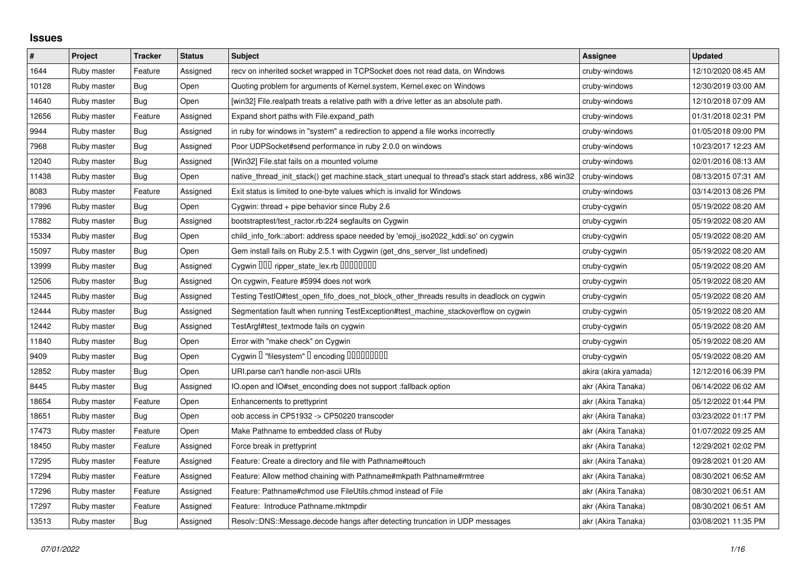## **Issues**

| $\#$  | Project     | <b>Tracker</b> | <b>Status</b> | <b>Subject</b>                                                                                        | Assignee             | <b>Updated</b>      |
|-------|-------------|----------------|---------------|-------------------------------------------------------------------------------------------------------|----------------------|---------------------|
| 1644  | Ruby master | Feature        | Assigned      | recv on inherited socket wrapped in TCPSocket does not read data, on Windows                          | cruby-windows        | 12/10/2020 08:45 AM |
| 10128 | Ruby master | Bug            | Open          | Quoting problem for arguments of Kernel.system, Kernel.exec on Windows                                | cruby-windows        | 12/30/2019 03:00 AM |
| 14640 | Ruby master | Bug            | Open          | [win32] File.realpath treats a relative path with a drive letter as an absolute path.                 | cruby-windows        | 12/10/2018 07:09 AM |
| 12656 | Ruby master | Feature        | Assigned      | Expand short paths with File.expand path                                                              | cruby-windows        | 01/31/2018 02:31 PM |
| 9944  | Ruby master | <b>Bug</b>     | Assigned      | in ruby for windows in "system" a redirection to append a file works incorrectly                      | cruby-windows        | 01/05/2018 09:00 PM |
| 7968  | Ruby master | Bug            | Assigned      | Poor UDPSocket#send performance in ruby 2.0.0 on windows                                              | cruby-windows        | 10/23/2017 12:23 AM |
| 12040 | Ruby master | Bug            | Assigned      | [Win32] File.stat fails on a mounted volume                                                           | cruby-windows        | 02/01/2016 08:13 AM |
| 11438 | Ruby master | Bug            | Open          | native_thread_init_stack() get machine.stack_start unequal to thread's stack start address, x86 win32 | cruby-windows        | 08/13/2015 07:31 AM |
| 8083  | Ruby master | Feature        | Assigned      | Exit status is limited to one-byte values which is invalid for Windows                                | cruby-windows        | 03/14/2013 08:26 PM |
| 17996 | Ruby master | Bug            | Open          | Cygwin: thread + pipe behavior since Ruby 2.6                                                         | cruby-cygwin         | 05/19/2022 08:20 AM |
| 17882 | Ruby master | Bug            | Assigned      | bootstraptest/test_ractor.rb:224 segfaults on Cygwin                                                  | cruby-cygwin         | 05/19/2022 08:20 AM |
| 15334 | Ruby master | <b>Bug</b>     | Open          | child_info_fork::abort: address space needed by 'emoji_iso2022_kddi.so' on cygwin                     | cruby-cygwin         | 05/19/2022 08:20 AM |
| 15097 | Ruby master | Bug            | Open          | Gem install fails on Ruby 2.5.1 with Cygwin (get_dns_server_list undefined)                           | cruby-cygwin         | 05/19/2022 08:20 AM |
| 13999 | Ruby master | Bug            | Assigned      | Cygwin OOO ripper_state_lex.rb 0000000                                                                | cruby-cygwin         | 05/19/2022 08:20 AM |
| 12506 | Ruby master | <b>Bug</b>     | Assigned      | On cygwin, Feature #5994 does not work                                                                | cruby-cygwin         | 05/19/2022 08:20 AM |
| 12445 | Ruby master | Bug            | Assigned      | Testing TestIO#test_open_fifo_does_not_block_other_threads results in deadlock on cygwin              | cruby-cygwin         | 05/19/2022 08:20 AM |
| 12444 | Ruby master | Bug            | Assigned      | Segmentation fault when running TestException#test_machine_stackoverflow on cygwin                    | cruby-cygwin         | 05/19/2022 08:20 AM |
| 12442 | Ruby master | Bug            | Assigned      | TestArgf#test textmode fails on cygwin                                                                | cruby-cygwin         | 05/19/2022 08:20 AM |
| 11840 | Ruby master | <b>Bug</b>     | Open          | Error with "make check" on Cygwin                                                                     | cruby-cygwin         | 05/19/2022 08:20 AM |
| 9409  | Ruby master | Bug            | Open          | Cygwin I "filesystem" I encoding IIIIIIIIIIIII                                                        | cruby-cygwin         | 05/19/2022 08:20 AM |
| 12852 | Ruby master | Bug            | Open          | URI.parse can't handle non-ascii URIs                                                                 | akira (akira yamada) | 12/12/2016 06:39 PM |
| 8445  | Ruby master | Bug            | Assigned      | IO.open and IO#set_enconding does not support :fallback option                                        | akr (Akira Tanaka)   | 06/14/2022 06:02 AM |
| 18654 | Ruby master | Feature        | Open          | Enhancements to prettyprint                                                                           | akr (Akira Tanaka)   | 05/12/2022 01:44 PM |
| 18651 | Ruby master | Bug            | Open          | oob access in CP51932 -> CP50220 transcoder                                                           | akr (Akira Tanaka)   | 03/23/2022 01:17 PM |
| 17473 | Ruby master | Feature        | Open          | Make Pathname to embedded class of Ruby                                                               | akr (Akira Tanaka)   | 01/07/2022 09:25 AM |
| 18450 | Ruby master | Feature        | Assigned      | Force break in prettyprint                                                                            | akr (Akira Tanaka)   | 12/29/2021 02:02 PM |
| 17295 | Ruby master | Feature        | Assigned      | Feature: Create a directory and file with Pathname#touch                                              | akr (Akira Tanaka)   | 09/28/2021 01:20 AM |
| 17294 | Ruby master | Feature        | Assigned      | Feature: Allow method chaining with Pathname#mkpath Pathname#rmtree                                   | akr (Akira Tanaka)   | 08/30/2021 06:52 AM |
| 17296 | Ruby master | Feature        | Assigned      | Feature: Pathname#chmod use FileUtils.chmod instead of File                                           | akr (Akira Tanaka)   | 08/30/2021 06:51 AM |
| 17297 | Ruby master | Feature        | Assigned      | Feature: Introduce Pathname.mktmpdir                                                                  | akr (Akira Tanaka)   | 08/30/2021 06:51 AM |
| 13513 | Ruby master | Bug            | Assigned      | Resolv::DNS::Message.decode hangs after detecting truncation in UDP messages                          | akr (Akira Tanaka)   | 03/08/2021 11:35 PM |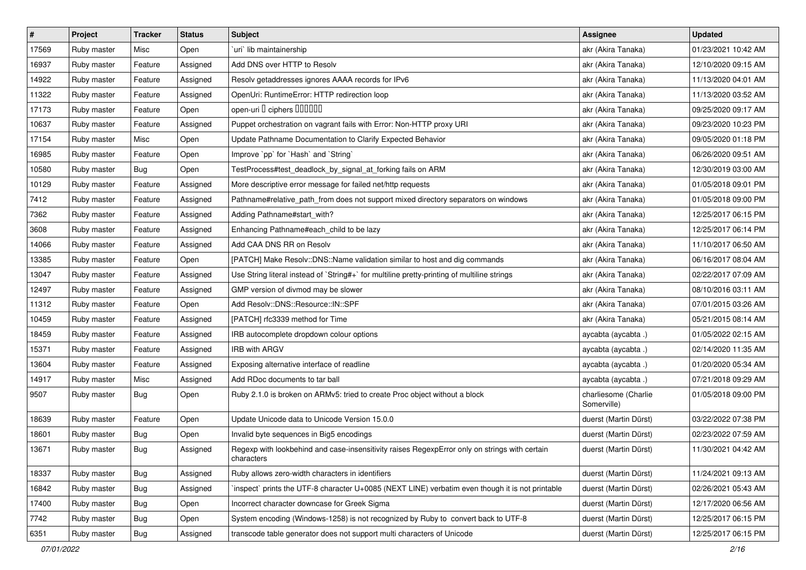| $\vert$ # | Project     | Tracker    | <b>Status</b> | Subject                                                                                                     | <b>Assignee</b>                     | <b>Updated</b>      |
|-----------|-------------|------------|---------------|-------------------------------------------------------------------------------------------------------------|-------------------------------------|---------------------|
| 17569     | Ruby master | Misc       | Open          | uri lib maintainership                                                                                      | akr (Akira Tanaka)                  | 01/23/2021 10:42 AM |
| 16937     | Ruby master | Feature    | Assigned      | Add DNS over HTTP to Resolv                                                                                 | akr (Akira Tanaka)                  | 12/10/2020 09:15 AM |
| 14922     | Ruby master | Feature    | Assigned      | Resolv getaddresses ignores AAAA records for IPv6                                                           | akr (Akira Tanaka)                  | 11/13/2020 04:01 AM |
| 11322     | Ruby master | Feature    | Assigned      | OpenUri: RuntimeError: HTTP redirection loop                                                                | akr (Akira Tanaka)                  | 11/13/2020 03:52 AM |
| 17173     | Ruby master | Feature    | Open          | open-uri I ciphers IIIIIII                                                                                  | akr (Akira Tanaka)                  | 09/25/2020 09:17 AM |
| 10637     | Ruby master | Feature    | Assigned      | Puppet orchestration on vagrant fails with Error: Non-HTTP proxy URI                                        | akr (Akira Tanaka)                  | 09/23/2020 10:23 PM |
| 17154     | Ruby master | Misc       | Open          | Update Pathname Documentation to Clarify Expected Behavior                                                  | akr (Akira Tanaka)                  | 09/05/2020 01:18 PM |
| 16985     | Ruby master | Feature    | Open          | Improve `pp` for `Hash` and `String`                                                                        | akr (Akira Tanaka)                  | 06/26/2020 09:51 AM |
| 10580     | Ruby master | Bug        | Open          | TestProcess#test_deadlock_by_signal_at_forking fails on ARM                                                 | akr (Akira Tanaka)                  | 12/30/2019 03:00 AM |
| 10129     | Ruby master | Feature    | Assigned      | More descriptive error message for failed net/http requests                                                 | akr (Akira Tanaka)                  | 01/05/2018 09:01 PM |
| 7412      | Ruby master | Feature    | Assigned      | Pathname#relative_path_from does not support mixed directory separators on windows                          | akr (Akira Tanaka)                  | 01/05/2018 09:00 PM |
| 7362      | Ruby master | Feature    | Assigned      | Adding Pathname#start_with?                                                                                 | akr (Akira Tanaka)                  | 12/25/2017 06:15 PM |
| 3608      | Ruby master | Feature    | Assigned      | Enhancing Pathname#each_child to be lazy                                                                    | akr (Akira Tanaka)                  | 12/25/2017 06:14 PM |
| 14066     | Ruby master | Feature    | Assigned      | Add CAA DNS RR on Resolv                                                                                    | akr (Akira Tanaka)                  | 11/10/2017 06:50 AM |
| 13385     | Ruby master | Feature    | Open          | [PATCH] Make Resolv::DNS::Name validation similar to host and dig commands                                  | akr (Akira Tanaka)                  | 06/16/2017 08:04 AM |
| 13047     | Ruby master | Feature    | Assigned      | Use String literal instead of `String#+` for multiline pretty-printing of multiline strings                 | akr (Akira Tanaka)                  | 02/22/2017 07:09 AM |
| 12497     | Ruby master | Feature    | Assigned      | GMP version of divmod may be slower                                                                         | akr (Akira Tanaka)                  | 08/10/2016 03:11 AM |
| 11312     | Ruby master | Feature    | Open          | Add Resolv::DNS::Resource::IN::SPF                                                                          | akr (Akira Tanaka)                  | 07/01/2015 03:26 AM |
| 10459     | Ruby master | Feature    | Assigned      | [PATCH] rfc3339 method for Time                                                                             | akr (Akira Tanaka)                  | 05/21/2015 08:14 AM |
| 18459     | Ruby master | Feature    | Assigned      | IRB autocomplete dropdown colour options                                                                    | aycabta (aycabta.)                  | 01/05/2022 02:15 AM |
| 15371     | Ruby master | Feature    | Assigned      | <b>IRB with ARGV</b>                                                                                        | aycabta (aycabta.)                  | 02/14/2020 11:35 AM |
| 13604     | Ruby master | Feature    | Assigned      | Exposing alternative interface of readline                                                                  | aycabta (aycabta.)                  | 01/20/2020 05:34 AM |
| 14917     | Ruby master | Misc       | Assigned      | Add RDoc documents to tar ball                                                                              | aycabta (aycabta.)                  | 07/21/2018 09:29 AM |
| 9507      | Ruby master | Bug        | Open          | Ruby 2.1.0 is broken on ARMv5: tried to create Proc object without a block                                  | charliesome (Charlie<br>Somerville) | 01/05/2018 09:00 PM |
| 18639     | Ruby master | Feature    | Open          | Update Unicode data to Unicode Version 15.0.0                                                               | duerst (Martin Dürst)               | 03/22/2022 07:38 PM |
| 18601     | Ruby master | Bug        | Open          | Invalid byte sequences in Big5 encodings                                                                    | duerst (Martin Dürst)               | 02/23/2022 07:59 AM |
| 13671     | Ruby master | <b>Bug</b> | Assigned      | Regexp with lookbehind and case-insensitivity raises RegexpError only on strings with certain<br>characters | duerst (Martin Dürst)               | 11/30/2021 04:42 AM |
| 18337     | Ruby master | <b>Bug</b> | Assigned      | Ruby allows zero-width characters in identifiers                                                            | duerst (Martin Dürst)               | 11/24/2021 09:13 AM |
| 16842     | Ruby master | <b>Bug</b> | Assigned      | 'inspect' prints the UTF-8 character U+0085 (NEXT LINE) verbatim even though it is not printable            | duerst (Martin Dürst)               | 02/26/2021 05:43 AM |
| 17400     | Ruby master | Bug        | Open          | Incorrect character downcase for Greek Sigma                                                                | duerst (Martin Dürst)               | 12/17/2020 06:56 AM |
| 7742      | Ruby master | Bug        | Open          | System encoding (Windows-1258) is not recognized by Ruby to convert back to UTF-8                           | duerst (Martin Dürst)               | 12/25/2017 06:15 PM |
| 6351      | Ruby master | Bug        | Assigned      | transcode table generator does not support multi characters of Unicode                                      | duerst (Martin Dürst)               | 12/25/2017 06:15 PM |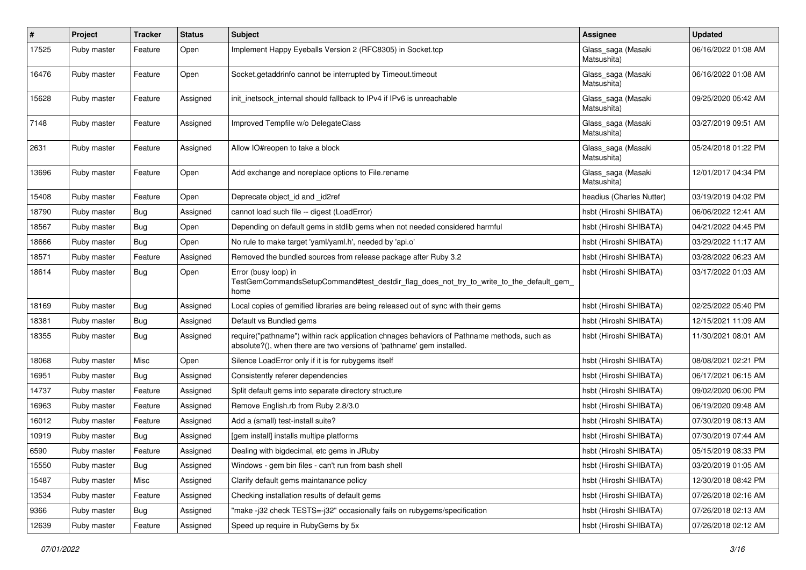| $\pmb{\#}$ | Project     | <b>Tracker</b> | <b>Status</b> | <b>Subject</b>                                                                                                                                                      | Assignee                          | <b>Updated</b>      |
|------------|-------------|----------------|---------------|---------------------------------------------------------------------------------------------------------------------------------------------------------------------|-----------------------------------|---------------------|
| 17525      | Ruby master | Feature        | Open          | Implement Happy Eyeballs Version 2 (RFC8305) in Socket.tcp                                                                                                          | Glass_saga (Masaki<br>Matsushita) | 06/16/2022 01:08 AM |
| 16476      | Ruby master | Feature        | Open          | Socket.getaddrinfo cannot be interrupted by Timeout.timeout                                                                                                         | Glass_saga (Masaki<br>Matsushita) | 06/16/2022 01:08 AM |
| 15628      | Ruby master | Feature        | Assigned      | init inetsock internal should fallback to IPv4 if IPv6 is unreachable                                                                                               | Glass_saga (Masaki<br>Matsushita) | 09/25/2020 05:42 AM |
| 7148       | Ruby master | Feature        | Assigned      | Improved Tempfile w/o DelegateClass                                                                                                                                 | Glass_saga (Masaki<br>Matsushita) | 03/27/2019 09:51 AM |
| 2631       | Ruby master | Feature        | Assigned      | Allow IO#reopen to take a block                                                                                                                                     | Glass_saga (Masaki<br>Matsushita) | 05/24/2018 01:22 PM |
| 13696      | Ruby master | Feature        | Open          | Add exchange and noreplace options to File.rename                                                                                                                   | Glass_saga (Masaki<br>Matsushita) | 12/01/2017 04:34 PM |
| 15408      | Ruby master | Feature        | Open          | Deprecate object_id and _id2ref                                                                                                                                     | headius (Charles Nutter)          | 03/19/2019 04:02 PM |
| 18790      | Ruby master | Bug            | Assigned      | cannot load such file -- digest (LoadError)                                                                                                                         | hsbt (Hiroshi SHIBATA)            | 06/06/2022 12:41 AM |
| 18567      | Ruby master | Bug            | Open          | Depending on default gems in stdlib gems when not needed considered harmful                                                                                         | hsbt (Hiroshi SHIBATA)            | 04/21/2022 04:45 PM |
| 18666      | Ruby master | Bug            | Open          | No rule to make target 'yaml/yaml.h', needed by 'api.o'                                                                                                             | hsbt (Hiroshi SHIBATA)            | 03/29/2022 11:17 AM |
| 18571      | Ruby master | Feature        | Assigned      | Removed the bundled sources from release package after Ruby 3.2                                                                                                     | hsbt (Hiroshi SHIBATA)            | 03/28/2022 06:23 AM |
| 18614      | Ruby master | Bug            | Open          | Error (busy loop) in<br>TestGemCommandsSetupCommand#test_destdir_flag_does_not_try_to_write_to_the_default_gem_<br>home                                             | hsbt (Hiroshi SHIBATA)            | 03/17/2022 01:03 AM |
| 18169      | Ruby master | Bug            | Assigned      | Local copies of gemified libraries are being released out of sync with their gems                                                                                   | hsbt (Hiroshi SHIBATA)            | 02/25/2022 05:40 PM |
| 18381      | Ruby master | Bug            | Assigned      | Default vs Bundled gems                                                                                                                                             | hsbt (Hiroshi SHIBATA)            | 12/15/2021 11:09 AM |
| 18355      | Ruby master | Bug            | Assigned      | require("pathname") within rack application chnages behaviors of Pathname methods, such as<br>absolute?(), when there are two versions of 'pathname' gem installed. | hsbt (Hiroshi SHIBATA)            | 11/30/2021 08:01 AM |
| 18068      | Ruby master | Misc           | Open          | Silence LoadError only if it is for rubygems itself                                                                                                                 | hsbt (Hiroshi SHIBATA)            | 08/08/2021 02:21 PM |
| 16951      | Ruby master | Bug            | Assigned      | Consistently referer dependencies                                                                                                                                   | hsbt (Hiroshi SHIBATA)            | 06/17/2021 06:15 AM |
| 14737      | Ruby master | Feature        | Assigned      | Split default gems into separate directory structure                                                                                                                | hsbt (Hiroshi SHIBATA)            | 09/02/2020 06:00 PM |
| 16963      | Ruby master | Feature        | Assigned      | Remove English.rb from Ruby 2.8/3.0                                                                                                                                 | hsbt (Hiroshi SHIBATA)            | 06/19/2020 09:48 AM |
| 16012      | Ruby master | Feature        | Assigned      | Add a (small) test-install suite?                                                                                                                                   | hsbt (Hiroshi SHIBATA)            | 07/30/2019 08:13 AM |
| 10919      | Ruby master | <b>Bug</b>     | Assigned      | [gem install] installs multipe platforms                                                                                                                            | hsbt (Hiroshi SHIBATA)            | 07/30/2019 07:44 AM |
| 6590       | Ruby master | Feature        | Assigned      | Dealing with bigdecimal, etc gems in JRuby                                                                                                                          | hsbt (Hiroshi SHIBATA)            | 05/15/2019 08:33 PM |
| 15550      | Ruby master | Bug            | Assigned      | Windows - gem bin files - can't run from bash shell                                                                                                                 | hsbt (Hiroshi SHIBATA)            | 03/20/2019 01:05 AM |
| 15487      | Ruby master | Misc           | Assigned      | Clarify default gems maintanance policy                                                                                                                             | hsbt (Hiroshi SHIBATA)            | 12/30/2018 08:42 PM |
| 13534      | Ruby master | Feature        | Assigned      | Checking installation results of default gems                                                                                                                       | hsbt (Hiroshi SHIBATA)            | 07/26/2018 02:16 AM |
| 9366       | Ruby master | Bug            | Assigned      | "make-j32 check TESTS=-j32" occasionally fails on rubygems/specification                                                                                            | hsbt (Hiroshi SHIBATA)            | 07/26/2018 02:13 AM |
| 12639      | Ruby master | Feature        | Assigned      | Speed up require in RubyGems by 5x                                                                                                                                  | hsbt (Hiroshi SHIBATA)            | 07/26/2018 02:12 AM |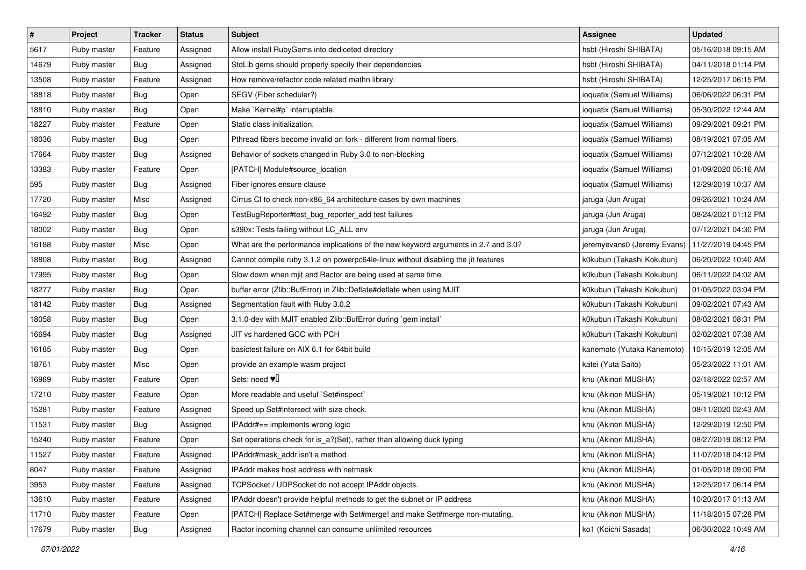| $\pmb{\#}$ | Project     | <b>Tracker</b> | <b>Status</b> | <b>Subject</b>                                                                     | <b>Assignee</b>             | <b>Updated</b>      |
|------------|-------------|----------------|---------------|------------------------------------------------------------------------------------|-----------------------------|---------------------|
| 5617       | Ruby master | Feature        | Assigned      | Allow install RubyGems into dediceted directory                                    | hsbt (Hiroshi SHIBATA)      | 05/16/2018 09:15 AM |
| 14679      | Ruby master | Bug            | Assigned      | StdLib gems should properly specify their dependencies                             | hsbt (Hiroshi SHIBATA)      | 04/11/2018 01:14 PM |
| 13508      | Ruby master | Feature        | Assigned      | How remove/refactor code related mathn library.                                    | hsbt (Hiroshi SHIBATA)      | 12/25/2017 06:15 PM |
| 18818      | Ruby master | <b>Bug</b>     | Open          | SEGV (Fiber scheduler?)                                                            | ioquatix (Samuel Williams)  | 06/06/2022 06:31 PM |
| 18810      | Ruby master | Bug            | Open          | Make `Kernel#p` interruptable.                                                     | ioquatix (Samuel Williams)  | 05/30/2022 12:44 AM |
| 18227      | Ruby master | Feature        | Open          | Static class initialization.                                                       | ioquatix (Samuel Williams)  | 09/29/2021 09:21 PM |
| 18036      | Ruby master | Bug            | Open          | Pthread fibers become invalid on fork - different from normal fibers.              | ioquatix (Samuel Williams)  | 08/19/2021 07:05 AM |
| 17664      | Ruby master | Bug            | Assigned      | Behavior of sockets changed in Ruby 3.0 to non-blocking                            | ioquatix (Samuel Williams)  | 07/12/2021 10:28 AM |
| 13383      | Ruby master | Feature        | Open          | [PATCH] Module#source_location                                                     | ioquatix (Samuel Williams)  | 01/09/2020 05:16 AM |
| 595        | Ruby master | Bug            | Assigned      | Fiber ignores ensure clause                                                        | ioquatix (Samuel Williams)  | 12/29/2019 10:37 AM |
| 17720      | Ruby master | Misc           | Assigned      | Cirrus CI to check non-x86_64 architecture cases by own machines                   | jaruga (Jun Aruga)          | 09/26/2021 10:24 AM |
| 16492      | Ruby master | Bug            | Open          | TestBugReporter#test_bug_reporter_add test failures                                | jaruga (Jun Aruga)          | 08/24/2021 01:12 PM |
| 18002      | Ruby master | Bug            | Open          | s390x: Tests failing without LC_ALL env                                            | jaruga (Jun Aruga)          | 07/12/2021 04:30 PM |
| 16188      | Ruby master | Misc           | Open          | What are the performance implications of the new keyword arguments in 2.7 and 3.0? | jeremyevans0 (Jeremy Evans) | 11/27/2019 04:45 PM |
| 18808      | Ruby master | <b>Bug</b>     | Assigned      | Cannot compile ruby 3.1.2 on powerpc64le-linux without disabling the jit features  | k0kubun (Takashi Kokubun)   | 06/20/2022 10:40 AM |
| 17995      | Ruby master | Bug            | Open          | Slow down when mjit and Ractor are being used at same time                         | k0kubun (Takashi Kokubun)   | 06/11/2022 04:02 AM |
| 18277      | Ruby master | <b>Bug</b>     | Open          | buffer error (Zlib::BufError) in Zlib::Deflate#deflate when using MJIT             | k0kubun (Takashi Kokubun)   | 01/05/2022 03:04 PM |
| 18142      | Ruby master | Bug            | Assigned      | Segmentation fault with Ruby 3.0.2                                                 | k0kubun (Takashi Kokubun)   | 09/02/2021 07:43 AM |
| 18058      | Ruby master | <b>Bug</b>     | Open          | 3.1.0-dev with MJIT enabled Zlib::BufError during `gem install`                    | k0kubun (Takashi Kokubun)   | 08/02/2021 08:31 PM |
| 16694      | Ruby master | Bug            | Assigned      | JIT vs hardened GCC with PCH                                                       | k0kubun (Takashi Kokubun)   | 02/02/2021 07:38 AM |
| 16185      | Ruby master | Bug            | Open          | basictest failure on AIX 6.1 for 64bit build                                       | kanemoto (Yutaka Kanemoto)  | 10/15/2019 12:05 AM |
| 18761      | Ruby master | Misc           | Open          | provide an example wasm project                                                    | katei (Yuta Saito)          | 05/23/2022 11:01 AM |
| 16989      | Ruby master | Feature        | Open          | Sets: need $\Psi$ <sup>[]</sup>                                                    | knu (Akinori MUSHA)         | 02/18/2022 02:57 AM |
| 17210      | Ruby master | Feature        | Open          | More readable and useful `Set#inspect`                                             | knu (Akinori MUSHA)         | 05/19/2021 10:12 PM |
| 15281      | Ruby master | Feature        | Assigned      | Speed up Set#intersect with size check.                                            | knu (Akinori MUSHA)         | 08/11/2020 02:43 AM |
| 11531      | Ruby master | Bug            | Assigned      | IPAddr#== implements wrong logic                                                   | knu (Akinori MUSHA)         | 12/29/2019 12:50 PM |
| 15240      | Ruby master | Feature        | Open          | Set operations check for is_a?(Set), rather than allowing duck typing              | knu (Akinori MUSHA)         | 08/27/2019 08:12 PM |
| 11527      | Ruby master | Feature        | Assigned      | IPAddr#mask_addr isn't a method                                                    | knu (Akinori MUSHA)         | 11/07/2018 04:12 PM |
| 8047       | Ruby master | Feature        | Assigned      | IPAddr makes host address with netmask                                             | knu (Akinori MUSHA)         | 01/05/2018 09:00 PM |
| 3953       | Ruby master | Feature        | Assigned      | TCPSocket / UDPSocket do not accept IPAddr objects.                                | knu (Akinori MUSHA)         | 12/25/2017 06:14 PM |
| 13610      | Ruby master | Feature        | Assigned      | IPAddr doesn't provide helpful methods to get the subnet or IP address             | knu (Akinori MUSHA)         | 10/20/2017 01:13 AM |
| 11710      | Ruby master | Feature        | Open          | [PATCH] Replace Set#merge with Set#merge! and make Set#merge non-mutating.         | knu (Akinori MUSHA)         | 11/18/2015 07:28 PM |
| 17679      | Ruby master | <b>Bug</b>     | Assigned      | Ractor incoming channel can consume unlimited resources                            | ko1 (Koichi Sasada)         | 06/30/2022 10:49 AM |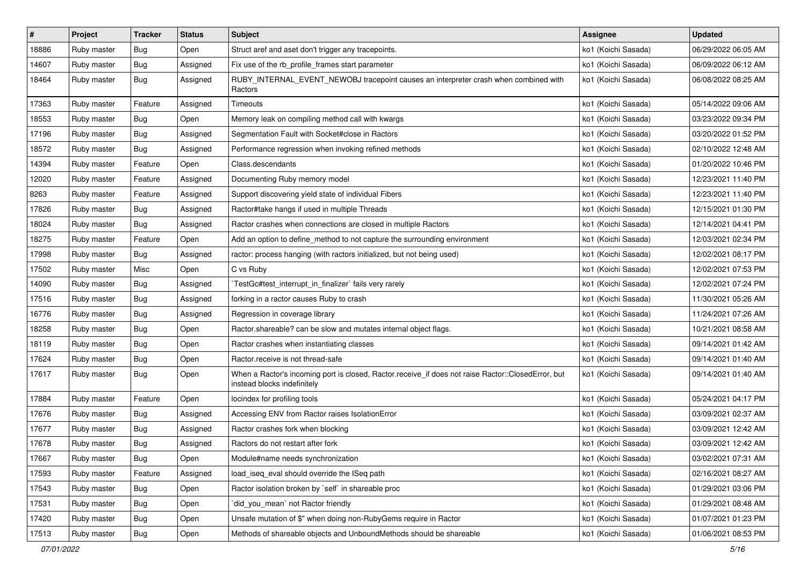| $\sharp$ | Project     | <b>Tracker</b> | <b>Status</b> | <b>Subject</b>                                                                                                                    | Assignee            | <b>Updated</b>      |
|----------|-------------|----------------|---------------|-----------------------------------------------------------------------------------------------------------------------------------|---------------------|---------------------|
| 18886    | Ruby master | <b>Bug</b>     | Open          | Struct aref and aset don't trigger any tracepoints.                                                                               | ko1 (Koichi Sasada) | 06/29/2022 06:05 AM |
| 14607    | Ruby master | Bug            | Assigned      | Fix use of the rb_profile_frames start parameter                                                                                  | ko1 (Koichi Sasada) | 06/09/2022 06:12 AM |
| 18464    | Ruby master | Bug            | Assigned      | RUBY_INTERNAL_EVENT_NEWOBJ tracepoint causes an interpreter crash when combined with<br>Ractors                                   | ko1 (Koichi Sasada) | 06/08/2022 08:25 AM |
| 17363    | Ruby master | Feature        | Assigned      | Timeouts                                                                                                                          | ko1 (Koichi Sasada) | 05/14/2022 09:06 AM |
| 18553    | Ruby master | Bug            | Open          | Memory leak on compiling method call with kwargs                                                                                  | ko1 (Koichi Sasada) | 03/23/2022 09:34 PM |
| 17196    | Ruby master | <b>Bug</b>     | Assigned      | Segmentation Fault with Socket#close in Ractors                                                                                   | ko1 (Koichi Sasada) | 03/20/2022 01:52 PM |
| 18572    | Ruby master | <b>Bug</b>     | Assigned      | Performance regression when invoking refined methods                                                                              | ko1 (Koichi Sasada) | 02/10/2022 12:48 AM |
| 14394    | Ruby master | Feature        | Open          | Class.descendants                                                                                                                 | ko1 (Koichi Sasada) | 01/20/2022 10:46 PM |
| 12020    | Ruby master | Feature        | Assigned      | Documenting Ruby memory model                                                                                                     | ko1 (Koichi Sasada) | 12/23/2021 11:40 PM |
| 8263     | Ruby master | Feature        | Assigned      | Support discovering yield state of individual Fibers                                                                              | ko1 (Koichi Sasada) | 12/23/2021 11:40 PM |
| 17826    | Ruby master | Bug            | Assigned      | Ractor#take hangs if used in multiple Threads                                                                                     | ko1 (Koichi Sasada) | 12/15/2021 01:30 PM |
| 18024    | Ruby master | Bug            | Assigned      | Ractor crashes when connections are closed in multiple Ractors                                                                    | ko1 (Koichi Sasada) | 12/14/2021 04:41 PM |
| 18275    | Ruby master | Feature        | Open          | Add an option to define_method to not capture the surrounding environment                                                         | ko1 (Koichi Sasada) | 12/03/2021 02:34 PM |
| 17998    | Ruby master | Bug            | Assigned      | ractor: process hanging (with ractors initialized, but not being used)                                                            | ko1 (Koichi Sasada) | 12/02/2021 08:17 PM |
| 17502    | Ruby master | Misc           | Open          | C vs Ruby                                                                                                                         | ko1 (Koichi Sasada) | 12/02/2021 07:53 PM |
| 14090    | Ruby master | Bug            | Assigned      | TestGc#test_interrupt_in_finalizer` fails very rarely                                                                             | ko1 (Koichi Sasada) | 12/02/2021 07:24 PM |
| 17516    | Ruby master | Bug            | Assigned      | forking in a ractor causes Ruby to crash                                                                                          | ko1 (Koichi Sasada) | 11/30/2021 05:26 AM |
| 16776    | Ruby master | Bug            | Assigned      | Regression in coverage library                                                                                                    | ko1 (Koichi Sasada) | 11/24/2021 07:26 AM |
| 18258    | Ruby master | Bug            | Open          | Ractor shareable? can be slow and mutates internal object flags.                                                                  | ko1 (Koichi Sasada) | 10/21/2021 08:58 AM |
| 18119    | Ruby master | Bug            | Open          | Ractor crashes when instantiating classes                                                                                         | ko1 (Koichi Sasada) | 09/14/2021 01:42 AM |
| 17624    | Ruby master | Bug            | Open          | Ractor.receive is not thread-safe                                                                                                 | ko1 (Koichi Sasada) | 09/14/2021 01:40 AM |
| 17617    | Ruby master | Bug            | Open          | When a Ractor's incoming port is closed, Ractor.receive_if does not raise Ractor::ClosedError, but<br>instead blocks indefinitely | ko1 (Koichi Sasada) | 09/14/2021 01:40 AM |
| 17884    | Ruby master | Feature        | Open          | locindex for profiling tools                                                                                                      | ko1 (Koichi Sasada) | 05/24/2021 04:17 PM |
| 17676    | Ruby master | Bug            | Assigned      | Accessing ENV from Ractor raises IsolationError                                                                                   | ko1 (Koichi Sasada) | 03/09/2021 02:37 AM |
| 17677    | Ruby master | Bug            | Assigned      | Ractor crashes fork when blocking                                                                                                 | ko1 (Koichi Sasada) | 03/09/2021 12:42 AM |
| 17678    | Ruby master | <b>Bug</b>     | Assigned      | Ractors do not restart after fork                                                                                                 | ko1 (Koichi Sasada) | 03/09/2021 12:42 AM |
| 17667    | Ruby master | Bug            | Open          | Module#name needs synchronization                                                                                                 | ko1 (Koichi Sasada) | 03/02/2021 07:31 AM |
| 17593    | Ruby master | Feature        | Assigned      | load_iseq_eval should override the ISeq path                                                                                      | ko1 (Koichi Sasada) | 02/16/2021 08:27 AM |
| 17543    | Ruby master | Bug            | Open          | Ractor isolation broken by `self` in shareable proc                                                                               | ko1 (Koichi Sasada) | 01/29/2021 03:06 PM |
| 17531    | Ruby master | <b>Bug</b>     | Open          | did you mean' not Ractor friendly                                                                                                 | ko1 (Koichi Sasada) | 01/29/2021 08:48 AM |
| 17420    | Ruby master | Bug            | Open          | Unsafe mutation of \$" when doing non-RubyGems require in Ractor                                                                  | ko1 (Koichi Sasada) | 01/07/2021 01:23 PM |
| 17513    | Ruby master | <b>Bug</b>     | Open          | Methods of shareable objects and UnboundMethods should be shareable                                                               | ko1 (Koichi Sasada) | 01/06/2021 08:53 PM |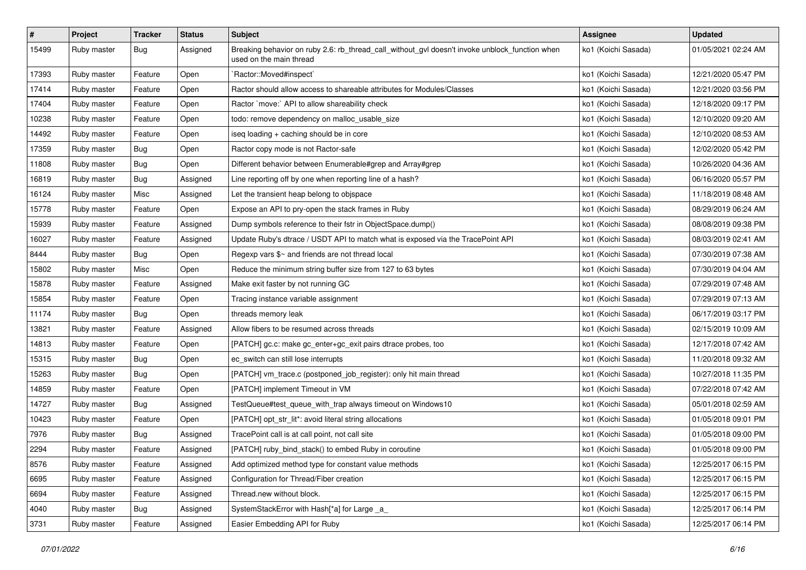| $\pmb{\#}$ | Project     | <b>Tracker</b> | <b>Status</b> | <b>Subject</b>                                                                                                            | <b>Assignee</b>     | <b>Updated</b>      |
|------------|-------------|----------------|---------------|---------------------------------------------------------------------------------------------------------------------------|---------------------|---------------------|
| 15499      | Ruby master | <b>Bug</b>     | Assigned      | Breaking behavior on ruby 2.6: rb_thread_call_without_gvl doesn't invoke unblock_function when<br>used on the main thread | ko1 (Koichi Sasada) | 01/05/2021 02:24 AM |
| 17393      | Ruby master | Feature        | Open          | Ractor::Moved#inspect`                                                                                                    | ko1 (Koichi Sasada) | 12/21/2020 05:47 PM |
| 17414      | Ruby master | Feature        | Open          | Ractor should allow access to shareable attributes for Modules/Classes                                                    | ko1 (Koichi Sasada) | 12/21/2020 03:56 PM |
| 17404      | Ruby master | Feature        | Open          | Ractor `move:` API to allow shareability check                                                                            | ko1 (Koichi Sasada) | 12/18/2020 09:17 PM |
| 10238      | Ruby master | Feature        | Open          | todo: remove dependency on malloc_usable_size                                                                             | ko1 (Koichi Sasada) | 12/10/2020 09:20 AM |
| 14492      | Ruby master | Feature        | Open          | iseq loading + caching should be in core                                                                                  | ko1 (Koichi Sasada) | 12/10/2020 08:53 AM |
| 17359      | Ruby master | Bug            | Open          | Ractor copy mode is not Ractor-safe                                                                                       | ko1 (Koichi Sasada) | 12/02/2020 05:42 PM |
| 11808      | Ruby master | <b>Bug</b>     | Open          | Different behavior between Enumerable#grep and Array#grep                                                                 | ko1 (Koichi Sasada) | 10/26/2020 04:36 AM |
| 16819      | Ruby master | Bug            | Assigned      | Line reporting off by one when reporting line of a hash?                                                                  | ko1 (Koichi Sasada) | 06/16/2020 05:57 PM |
| 16124      | Ruby master | Misc           | Assigned      | Let the transient heap belong to objspace                                                                                 | ko1 (Koichi Sasada) | 11/18/2019 08:48 AM |
| 15778      | Ruby master | Feature        | Open          | Expose an API to pry-open the stack frames in Ruby                                                                        | ko1 (Koichi Sasada) | 08/29/2019 06:24 AM |
| 15939      | Ruby master | Feature        | Assigned      | Dump symbols reference to their fstr in ObjectSpace.dump()                                                                | ko1 (Koichi Sasada) | 08/08/2019 09:38 PM |
| 16027      | Ruby master | Feature        | Assigned      | Update Ruby's dtrace / USDT API to match what is exposed via the TracePoint API                                           | ko1 (Koichi Sasada) | 08/03/2019 02:41 AM |
| 8444       | Ruby master | Bug            | Open          | Regexp vars \$~ and friends are not thread local                                                                          | ko1 (Koichi Sasada) | 07/30/2019 07:38 AM |
| 15802      | Ruby master | Misc           | Open          | Reduce the minimum string buffer size from 127 to 63 bytes                                                                | ko1 (Koichi Sasada) | 07/30/2019 04:04 AM |
| 15878      | Ruby master | Feature        | Assigned      | Make exit faster by not running GC                                                                                        | ko1 (Koichi Sasada) | 07/29/2019 07:48 AM |
| 15854      | Ruby master | Feature        | Open          | Tracing instance variable assignment                                                                                      | ko1 (Koichi Sasada) | 07/29/2019 07:13 AM |
| 11174      | Ruby master | Bug            | Open          | threads memory leak                                                                                                       | ko1 (Koichi Sasada) | 06/17/2019 03:17 PM |
| 13821      | Ruby master | Feature        | Assigned      | Allow fibers to be resumed across threads                                                                                 | ko1 (Koichi Sasada) | 02/15/2019 10:09 AM |
| 14813      | Ruby master | Feature        | Open          | [PATCH] gc.c: make gc_enter+gc_exit pairs dtrace probes, too                                                              | ko1 (Koichi Sasada) | 12/17/2018 07:42 AM |
| 15315      | Ruby master | Bug            | Open          | ec_switch can still lose interrupts                                                                                       | ko1 (Koichi Sasada) | 11/20/2018 09:32 AM |
| 15263      | Ruby master | <b>Bug</b>     | Open          | [PATCH] vm_trace.c (postponed_job_register): only hit main thread                                                         | ko1 (Koichi Sasada) | 10/27/2018 11:35 PM |
| 14859      | Ruby master | Feature        | Open          | [PATCH] implement Timeout in VM                                                                                           | ko1 (Koichi Sasada) | 07/22/2018 07:42 AM |
| 14727      | Ruby master | Bug            | Assigned      | TestQueue#test_queue_with_trap always timeout on Windows10                                                                | ko1 (Koichi Sasada) | 05/01/2018 02:59 AM |
| 10423      | Ruby master | Feature        | Open          | [PATCH] opt_str_lit*: avoid literal string allocations                                                                    | ko1 (Koichi Sasada) | 01/05/2018 09:01 PM |
| 7976       | Ruby master | <b>Bug</b>     | Assigned      | TracePoint call is at call point, not call site                                                                           | ko1 (Koichi Sasada) | 01/05/2018 09:00 PM |
| 2294       | Ruby master | Feature        | Assigned      | [PATCH] ruby_bind_stack() to embed Ruby in coroutine                                                                      | ko1 (Koichi Sasada) | 01/05/2018 09:00 PM |
| 8576       | Ruby master | Feature        | Assigned      | Add optimized method type for constant value methods                                                                      | ko1 (Koichi Sasada) | 12/25/2017 06:15 PM |
| 6695       | Ruby master | Feature        | Assigned      | Configuration for Thread/Fiber creation                                                                                   | ko1 (Koichi Sasada) | 12/25/2017 06:15 PM |
| 6694       | Ruby master | Feature        | Assigned      | Thread.new without block.                                                                                                 | ko1 (Koichi Sasada) | 12/25/2017 06:15 PM |
| 4040       | Ruby master | <b>Bug</b>     | Assigned      | SystemStackError with Hash[*a] for Large _a_                                                                              | ko1 (Koichi Sasada) | 12/25/2017 06:14 PM |
| 3731       | Ruby master | Feature        | Assigned      | Easier Embedding API for Ruby                                                                                             | ko1 (Koichi Sasada) | 12/25/2017 06:14 PM |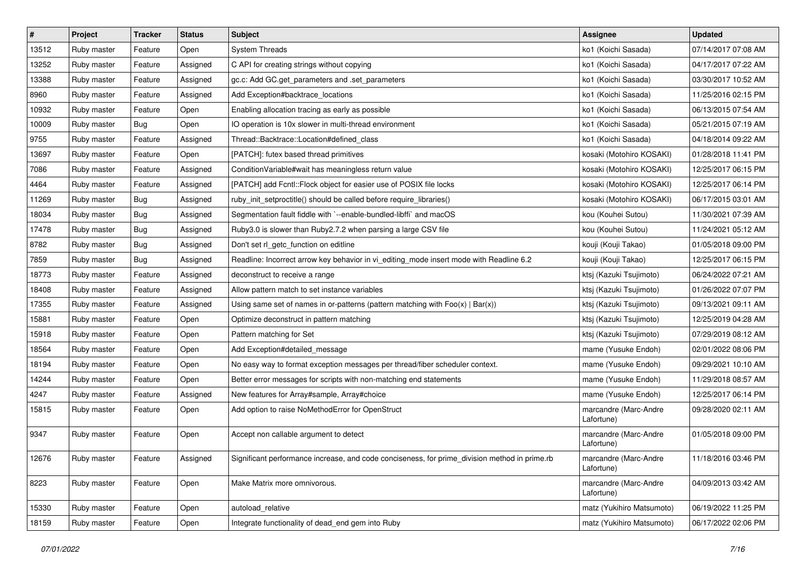| $\vert$ # | Project     | <b>Tracker</b> | <b>Status</b> | <b>Subject</b>                                                                                | Assignee                            | <b>Updated</b>      |
|-----------|-------------|----------------|---------------|-----------------------------------------------------------------------------------------------|-------------------------------------|---------------------|
| 13512     | Ruby master | Feature        | Open          | <b>System Threads</b>                                                                         | ko1 (Koichi Sasada)                 | 07/14/2017 07:08 AM |
| 13252     | Ruby master | Feature        | Assigned      | C API for creating strings without copying                                                    | ko1 (Koichi Sasada)                 | 04/17/2017 07:22 AM |
| 13388     | Ruby master | Feature        | Assigned      | gc.c: Add GC.get_parameters and .set_parameters                                               | ko1 (Koichi Sasada)                 | 03/30/2017 10:52 AM |
| 8960      | Ruby master | Feature        | Assigned      | Add Exception#backtrace_locations                                                             | ko1 (Koichi Sasada)                 | 11/25/2016 02:15 PM |
| 10932     | Ruby master | Feature        | Open          | Enabling allocation tracing as early as possible                                              | ko1 (Koichi Sasada)                 | 06/13/2015 07:54 AM |
| 10009     | Ruby master | Bug            | Open          | IO operation is 10x slower in multi-thread environment                                        | ko1 (Koichi Sasada)                 | 05/21/2015 07:19 AM |
| 9755      | Ruby master | Feature        | Assigned      | Thread::Backtrace::Location#defined class                                                     | ko1 (Koichi Sasada)                 | 04/18/2014 09:22 AM |
| 13697     | Ruby master | Feature        | Open          | [PATCH]: futex based thread primitives                                                        | kosaki (Motohiro KOSAKI)            | 01/28/2018 11:41 PM |
| 7086      | Ruby master | Feature        | Assigned      | Condition Variable#wait has meaningless return value                                          | kosaki (Motohiro KOSAKI)            | 12/25/2017 06:15 PM |
| 4464      | Ruby master | Feature        | Assigned      | [PATCH] add Fcntl::Flock object for easier use of POSIX file locks                            | kosaki (Motohiro KOSAKI)            | 12/25/2017 06:14 PM |
| 11269     | Ruby master | Bug            | Assigned      | ruby_init_setproctitle() should be called before require_libraries()                          | kosaki (Motohiro KOSAKI)            | 06/17/2015 03:01 AM |
| 18034     | Ruby master | Bug            | Assigned      | Segmentation fault fiddle with `--enable-bundled-libffi` and macOS                            | kou (Kouhei Sutou)                  | 11/30/2021 07:39 AM |
| 17478     | Ruby master | Bug            | Assigned      | Ruby3.0 is slower than Ruby2.7.2 when parsing a large CSV file                                | kou (Kouhei Sutou)                  | 11/24/2021 05:12 AM |
| 8782      | Ruby master | Bug            | Assigned      | Don't set rl_getc_function on editline                                                        | kouji (Kouji Takao)                 | 01/05/2018 09:00 PM |
| 7859      | Ruby master | Bug            | Assigned      | Readline: Incorrect arrow key behavior in vi_editing_mode insert mode with Readline 6.2       | kouji (Kouji Takao)                 | 12/25/2017 06:15 PM |
| 18773     | Ruby master | Feature        | Assigned      | deconstruct to receive a range                                                                | ktsj (Kazuki Tsujimoto)             | 06/24/2022 07:21 AM |
| 18408     | Ruby master | Feature        | Assigned      | Allow pattern match to set instance variables                                                 | ktsj (Kazuki Tsujimoto)             | 01/26/2022 07:07 PM |
| 17355     | Ruby master | Feature        | Assigned      | Using same set of names in or-patterns (pattern matching with $Foo(x)   Bar(x)$ )             | ktsj (Kazuki Tsujimoto)             | 09/13/2021 09:11 AM |
| 15881     | Ruby master | Feature        | Open          | Optimize deconstruct in pattern matching                                                      | ktsj (Kazuki Tsujimoto)             | 12/25/2019 04:28 AM |
| 15918     | Ruby master | Feature        | Open          | Pattern matching for Set                                                                      | ktsj (Kazuki Tsujimoto)             | 07/29/2019 08:12 AM |
| 18564     | Ruby master | Feature        | Open          | Add Exception#detailed message                                                                | mame (Yusuke Endoh)                 | 02/01/2022 08:06 PM |
| 18194     | Ruby master | Feature        | Open          | No easy way to format exception messages per thread/fiber scheduler context.                  | mame (Yusuke Endoh)                 | 09/29/2021 10:10 AM |
| 14244     | Ruby master | Feature        | Open          | Better error messages for scripts with non-matching end statements                            | mame (Yusuke Endoh)                 | 11/29/2018 08:57 AM |
| 4247      | Ruby master | Feature        | Assigned      | New features for Array#sample, Array#choice                                                   | mame (Yusuke Endoh)                 | 12/25/2017 06:14 PM |
| 15815     | Ruby master | Feature        | Open          | Add option to raise NoMethodError for OpenStruct                                              | marcandre (Marc-Andre<br>Lafortune) | 09/28/2020 02:11 AM |
| 9347      | Ruby master | Feature        | Open          | Accept non callable argument to detect                                                        | marcandre (Marc-Andre<br>Lafortune) | 01/05/2018 09:00 PM |
| 12676     | Ruby master | Feature        | Assigned      | Significant performance increase, and code conciseness, for prime_division method in prime.rb | marcandre (Marc-Andre<br>Lafortune) | 11/18/2016 03:46 PM |
| 8223      | Ruby master | Feature        | Open          | Make Matrix more omnivorous.                                                                  | marcandre (Marc-Andre<br>Lafortune) | 04/09/2013 03:42 AM |
| 15330     | Ruby master | Feature        | Open          | autoload relative                                                                             | matz (Yukihiro Matsumoto)           | 06/19/2022 11:25 PM |
| 18159     | Ruby master | Feature        | Open          | Integrate functionality of dead_end gem into Ruby                                             | matz (Yukihiro Matsumoto)           | 06/17/2022 02:06 PM |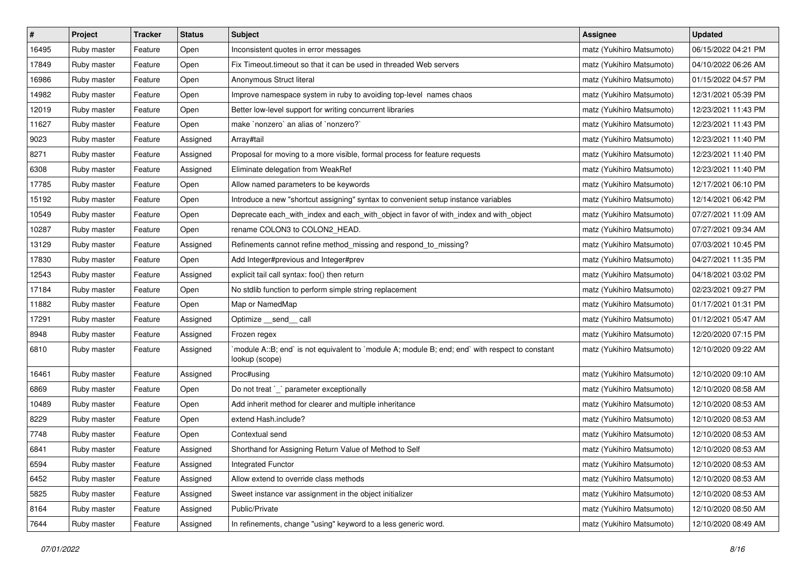| $\sharp$ | Project     | Tracker | <b>Status</b> | <b>Subject</b>                                                                                                   | <b>Assignee</b>           | <b>Updated</b>      |
|----------|-------------|---------|---------------|------------------------------------------------------------------------------------------------------------------|---------------------------|---------------------|
| 16495    | Ruby master | Feature | Open          | Inconsistent quotes in error messages                                                                            | matz (Yukihiro Matsumoto) | 06/15/2022 04:21 PM |
| 17849    | Ruby master | Feature | Open          | Fix Timeout.timeout so that it can be used in threaded Web servers                                               | matz (Yukihiro Matsumoto) | 04/10/2022 06:26 AM |
| 16986    | Ruby master | Feature | Open          | Anonymous Struct literal                                                                                         | matz (Yukihiro Matsumoto) | 01/15/2022 04:57 PM |
| 14982    | Ruby master | Feature | Open          | Improve namespace system in ruby to avoiding top-level names chaos                                               | matz (Yukihiro Matsumoto) | 12/31/2021 05:39 PM |
| 12019    | Ruby master | Feature | Open          | Better low-level support for writing concurrent libraries                                                        | matz (Yukihiro Matsumoto) | 12/23/2021 11:43 PM |
| 11627    | Ruby master | Feature | Open          | make `nonzero` an alias of `nonzero?`                                                                            | matz (Yukihiro Matsumoto) | 12/23/2021 11:43 PM |
| 9023     | Ruby master | Feature | Assigned      | Array#tail                                                                                                       | matz (Yukihiro Matsumoto) | 12/23/2021 11:40 PM |
| 8271     | Ruby master | Feature | Assigned      | Proposal for moving to a more visible, formal process for feature requests                                       | matz (Yukihiro Matsumoto) | 12/23/2021 11:40 PM |
| 6308     | Ruby master | Feature | Assigned      | Eliminate delegation from WeakRef                                                                                | matz (Yukihiro Matsumoto) | 12/23/2021 11:40 PM |
| 17785    | Ruby master | Feature | Open          | Allow named parameters to be keywords                                                                            | matz (Yukihiro Matsumoto) | 12/17/2021 06:10 PM |
| 15192    | Ruby master | Feature | Open          | Introduce a new "shortcut assigning" syntax to convenient setup instance variables                               | matz (Yukihiro Matsumoto) | 12/14/2021 06:42 PM |
| 10549    | Ruby master | Feature | Open          | Deprecate each_with_index and each_with_object in favor of with_index and with_object                            | matz (Yukihiro Matsumoto) | 07/27/2021 11:09 AM |
| 10287    | Ruby master | Feature | Open          | rename COLON3 to COLON2_HEAD.                                                                                    | matz (Yukihiro Matsumoto) | 07/27/2021 09:34 AM |
| 13129    | Ruby master | Feature | Assigned      | Refinements cannot refine method_missing and respond_to_missing?                                                 | matz (Yukihiro Matsumoto) | 07/03/2021 10:45 PM |
| 17830    | Ruby master | Feature | Open          | Add Integer#previous and Integer#prev                                                                            | matz (Yukihiro Matsumoto) | 04/27/2021 11:35 PM |
| 12543    | Ruby master | Feature | Assigned      | explicit tail call syntax: foo() then return                                                                     | matz (Yukihiro Matsumoto) | 04/18/2021 03:02 PM |
| 17184    | Ruby master | Feature | Open          | No stdlib function to perform simple string replacement                                                          | matz (Yukihiro Matsumoto) | 02/23/2021 09:27 PM |
| 11882    | Ruby master | Feature | Open          | Map or NamedMap                                                                                                  | matz (Yukihiro Matsumoto) | 01/17/2021 01:31 PM |
| 17291    | Ruby master | Feature | Assigned      | Optimize __send__ call                                                                                           | matz (Yukihiro Matsumoto) | 01/12/2021 05:47 AM |
| 8948     | Ruby master | Feature | Assigned      | Frozen regex                                                                                                     | matz (Yukihiro Matsumoto) | 12/20/2020 07:15 PM |
| 6810     | Ruby master | Feature | Assigned      | module A::B; end` is not equivalent to `module A; module B; end; end` with respect to constant<br>lookup (scope) | matz (Yukihiro Matsumoto) | 12/10/2020 09:22 AM |
| 16461    | Ruby master | Feature | Assigned      | Proc#using                                                                                                       | matz (Yukihiro Matsumoto) | 12/10/2020 09:10 AM |
| 6869     | Ruby master | Feature | Open          | Do not treat `_` parameter exceptionally                                                                         | matz (Yukihiro Matsumoto) | 12/10/2020 08:58 AM |
| 10489    | Ruby master | Feature | Open          | Add inherit method for clearer and multiple inheritance                                                          | matz (Yukihiro Matsumoto) | 12/10/2020 08:53 AM |
| 8229     | Ruby master | Feature | Open          | extend Hash.include?                                                                                             | matz (Yukihiro Matsumoto) | 12/10/2020 08:53 AM |
| 7748     | Ruby master | Feature | Open          | Contextual send                                                                                                  | matz (Yukihiro Matsumoto) | 12/10/2020 08:53 AM |
| 6841     | Ruby master | Feature | Assigned      | Shorthand for Assigning Return Value of Method to Self                                                           | matz (Yukihiro Matsumoto) | 12/10/2020 08:53 AM |
| 6594     | Ruby master | Feature | Assigned      | <b>Integrated Functor</b>                                                                                        | matz (Yukihiro Matsumoto) | 12/10/2020 08:53 AM |
| 6452     | Ruby master | Feature | Assigned      | Allow extend to override class methods                                                                           | matz (Yukihiro Matsumoto) | 12/10/2020 08:53 AM |
| 5825     | Ruby master | Feature | Assigned      | Sweet instance var assignment in the object initializer                                                          | matz (Yukihiro Matsumoto) | 12/10/2020 08:53 AM |
| 8164     | Ruby master | Feature | Assigned      | Public/Private                                                                                                   | matz (Yukihiro Matsumoto) | 12/10/2020 08:50 AM |
| 7644     | Ruby master | Feature | Assigned      | In refinements, change "using" keyword to a less generic word.                                                   | matz (Yukihiro Matsumoto) | 12/10/2020 08:49 AM |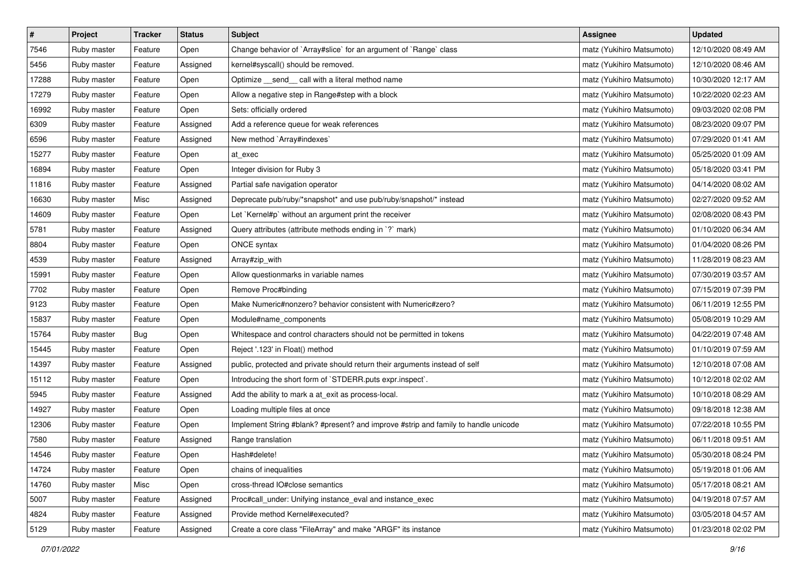| $\pmb{\#}$ | Project     | <b>Tracker</b> | <b>Status</b> | <b>Subject</b>                                                                     | <b>Assignee</b>           | <b>Updated</b>      |
|------------|-------------|----------------|---------------|------------------------------------------------------------------------------------|---------------------------|---------------------|
| 7546       | Ruby master | Feature        | Open          | Change behavior of `Array#slice` for an argument of `Range` class                  | matz (Yukihiro Matsumoto) | 12/10/2020 08:49 AM |
| 5456       | Ruby master | Feature        | Assigned      | kernel#syscall() should be removed.                                                | matz (Yukihiro Matsumoto) | 12/10/2020 08:46 AM |
| 17288      | Ruby master | Feature        | Open          | Optimize _send_ call with a literal method name                                    | matz (Yukihiro Matsumoto) | 10/30/2020 12:17 AM |
| 17279      | Ruby master | Feature        | Open          | Allow a negative step in Range#step with a block                                   | matz (Yukihiro Matsumoto) | 10/22/2020 02:23 AM |
| 16992      | Ruby master | Feature        | Open          | Sets: officially ordered                                                           | matz (Yukihiro Matsumoto) | 09/03/2020 02:08 PM |
| 6309       | Ruby master | Feature        | Assigned      | Add a reference queue for weak references                                          | matz (Yukihiro Matsumoto) | 08/23/2020 09:07 PM |
| 6596       | Ruby master | Feature        | Assigned      | New method `Array#indexes`                                                         | matz (Yukihiro Matsumoto) | 07/29/2020 01:41 AM |
| 15277      | Ruby master | Feature        | Open          | at exec                                                                            | matz (Yukihiro Matsumoto) | 05/25/2020 01:09 AM |
| 16894      | Ruby master | Feature        | Open          | Integer division for Ruby 3                                                        | matz (Yukihiro Matsumoto) | 05/18/2020 03:41 PM |
| 11816      | Ruby master | Feature        | Assigned      | Partial safe navigation operator                                                   | matz (Yukihiro Matsumoto) | 04/14/2020 08:02 AM |
| 16630      | Ruby master | Misc           | Assigned      | Deprecate pub/ruby/*snapshot* and use pub/ruby/snapshot/* instead                  | matz (Yukihiro Matsumoto) | 02/27/2020 09:52 AM |
| 14609      | Ruby master | Feature        | Open          | Let `Kernel#p` without an argument print the receiver                              | matz (Yukihiro Matsumoto) | 02/08/2020 08:43 PM |
| 5781       | Ruby master | Feature        | Assigned      | Query attributes (attribute methods ending in `?` mark)                            | matz (Yukihiro Matsumoto) | 01/10/2020 06:34 AM |
| 8804       | Ruby master | Feature        | Open          | ONCE syntax                                                                        | matz (Yukihiro Matsumoto) | 01/04/2020 08:26 PM |
| 4539       | Ruby master | Feature        | Assigned      | Array#zip_with                                                                     | matz (Yukihiro Matsumoto) | 11/28/2019 08:23 AM |
| 15991      | Ruby master | Feature        | Open          | Allow questionmarks in variable names                                              | matz (Yukihiro Matsumoto) | 07/30/2019 03:57 AM |
| 7702       | Ruby master | Feature        | Open          | Remove Proc#binding                                                                | matz (Yukihiro Matsumoto) | 07/15/2019 07:39 PM |
| 9123       | Ruby master | Feature        | Open          | Make Numeric#nonzero? behavior consistent with Numeric#zero?                       | matz (Yukihiro Matsumoto) | 06/11/2019 12:55 PM |
| 15837      | Ruby master | Feature        | Open          | Module#name_components                                                             | matz (Yukihiro Matsumoto) | 05/08/2019 10:29 AM |
| 15764      | Ruby master | Bug            | Open          | Whitespace and control characters should not be permitted in tokens                | matz (Yukihiro Matsumoto) | 04/22/2019 07:48 AM |
| 15445      | Ruby master | Feature        | Open          | Reject '.123' in Float() method                                                    | matz (Yukihiro Matsumoto) | 01/10/2019 07:59 AM |
| 14397      | Ruby master | Feature        | Assigned      | public, protected and private should return their arguments instead of self        | matz (Yukihiro Matsumoto) | 12/10/2018 07:08 AM |
| 15112      | Ruby master | Feature        | Open          | Introducing the short form of `STDERR.puts expr.inspect`.                          | matz (Yukihiro Matsumoto) | 10/12/2018 02:02 AM |
| 5945       | Ruby master | Feature        | Assigned      | Add the ability to mark a at_exit as process-local.                                | matz (Yukihiro Matsumoto) | 10/10/2018 08:29 AM |
| 14927      | Ruby master | Feature        | Open          | Loading multiple files at once                                                     | matz (Yukihiro Matsumoto) | 09/18/2018 12:38 AM |
| 12306      | Ruby master | Feature        | Open          | Implement String #blank? #present? and improve #strip and family to handle unicode | matz (Yukihiro Matsumoto) | 07/22/2018 10:55 PM |
| 7580       | Ruby master | Feature        | Assigned      | Range translation                                                                  | matz (Yukihiro Matsumoto) | 06/11/2018 09:51 AM |
| 14546      | Ruby master | Feature        | Open          | Hash#delete!                                                                       | matz (Yukihiro Matsumoto) | 05/30/2018 08:24 PM |
| 14724      | Ruby master | Feature        | Open          | chains of inequalities                                                             | matz (Yukihiro Matsumoto) | 05/19/2018 01:06 AM |
| 14760      | Ruby master | Misc           | Open          | cross-thread IO#close semantics                                                    | matz (Yukihiro Matsumoto) | 05/17/2018 08:21 AM |
| 5007       | Ruby master | Feature        | Assigned      | Proc#call_under: Unifying instance_eval and instance_exec                          | matz (Yukihiro Matsumoto) | 04/19/2018 07:57 AM |
| 4824       | Ruby master | Feature        | Assigned      | Provide method Kernel#executed?                                                    | matz (Yukihiro Matsumoto) | 03/05/2018 04:57 AM |
| 5129       | Ruby master | Feature        | Assigned      | Create a core class "FileArray" and make "ARGF" its instance                       | matz (Yukihiro Matsumoto) | 01/23/2018 02:02 PM |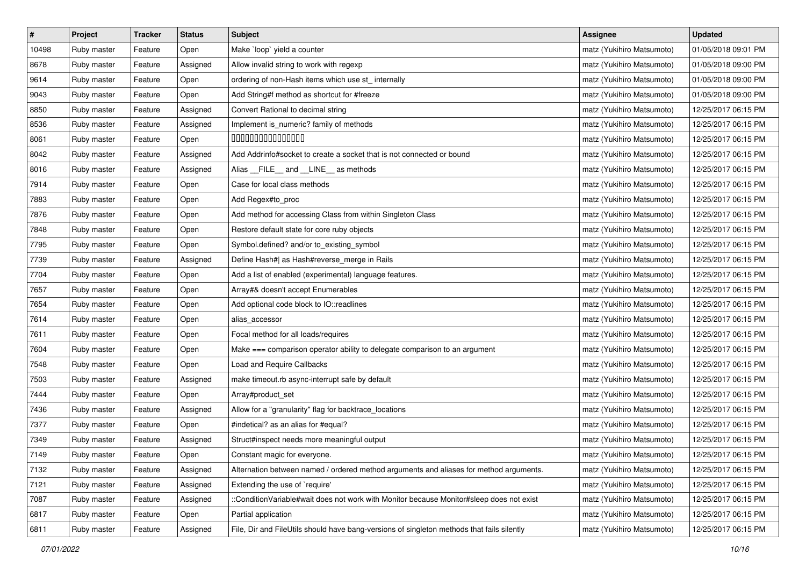| $\vert$ # | Project     | <b>Tracker</b> | <b>Status</b> | <b>Subject</b>                                                                             | <b>Assignee</b>           | <b>Updated</b>      |
|-----------|-------------|----------------|---------------|--------------------------------------------------------------------------------------------|---------------------------|---------------------|
| 10498     | Ruby master | Feature        | Open          | Make `loop` yield a counter                                                                | matz (Yukihiro Matsumoto) | 01/05/2018 09:01 PM |
| 8678      | Ruby master | Feature        | Assigned      | Allow invalid string to work with regexp                                                   | matz (Yukihiro Matsumoto) | 01/05/2018 09:00 PM |
| 9614      | Ruby master | Feature        | Open          | ordering of non-Hash items which use st_internally                                         | matz (Yukihiro Matsumoto) | 01/05/2018 09:00 PM |
| 9043      | Ruby master | Feature        | Open          | Add String#f method as shortcut for #freeze                                                | matz (Yukihiro Matsumoto) | 01/05/2018 09:00 PM |
| 8850      | Ruby master | Feature        | Assigned      | Convert Rational to decimal string                                                         | matz (Yukihiro Matsumoto) | 12/25/2017 06:15 PM |
| 8536      | Ruby master | Feature        | Assigned      | Implement is_numeric? family of methods                                                    | matz (Yukihiro Matsumoto) | 12/25/2017 06:15 PM |
| 8061      | Ruby master | Feature        | Open          | 000000000000000                                                                            | matz (Yukihiro Matsumoto) | 12/25/2017 06:15 PM |
| 8042      | Ruby master | Feature        | Assigned      | Add Addrinfo#socket to create a socket that is not connected or bound                      | matz (Yukihiro Matsumoto) | 12/25/2017 06:15 PM |
| 8016      | Ruby master | Feature        | Assigned      | Alias __FILE__ and __LINE__ as methods                                                     | matz (Yukihiro Matsumoto) | 12/25/2017 06:15 PM |
| 7914      | Ruby master | Feature        | Open          | Case for local class methods                                                               | matz (Yukihiro Matsumoto) | 12/25/2017 06:15 PM |
| 7883      | Ruby master | Feature        | Open          | Add Regex#to_proc                                                                          | matz (Yukihiro Matsumoto) | 12/25/2017 06:15 PM |
| 7876      | Ruby master | Feature        | Open          | Add method for accessing Class from within Singleton Class                                 | matz (Yukihiro Matsumoto) | 12/25/2017 06:15 PM |
| 7848      | Ruby master | Feature        | Open          | Restore default state for core ruby objects                                                | matz (Yukihiro Matsumoto) | 12/25/2017 06:15 PM |
| 7795      | Ruby master | Feature        | Open          | Symbol.defined? and/or to_existing_symbol                                                  | matz (Yukihiro Matsumoto) | 12/25/2017 06:15 PM |
| 7739      | Ruby master | Feature        | Assigned      | Define Hash#  as Hash#reverse_merge in Rails                                               | matz (Yukihiro Matsumoto) | 12/25/2017 06:15 PM |
| 7704      | Ruby master | Feature        | Open          | Add a list of enabled (experimental) language features.                                    | matz (Yukihiro Matsumoto) | 12/25/2017 06:15 PM |
| 7657      | Ruby master | Feature        | Open          | Array#& doesn't accept Enumerables                                                         | matz (Yukihiro Matsumoto) | 12/25/2017 06:15 PM |
| 7654      | Ruby master | Feature        | Open          | Add optional code block to IO::readlines                                                   | matz (Yukihiro Matsumoto) | 12/25/2017 06:15 PM |
| 7614      | Ruby master | Feature        | Open          | alias_accessor                                                                             | matz (Yukihiro Matsumoto) | 12/25/2017 06:15 PM |
| 7611      | Ruby master | Feature        | Open          | Focal method for all loads/requires                                                        | matz (Yukihiro Matsumoto) | 12/25/2017 06:15 PM |
| 7604      | Ruby master | Feature        | Open          | Make === comparison operator ability to delegate comparison to an argument                 | matz (Yukihiro Matsumoto) | 12/25/2017 06:15 PM |
| 7548      | Ruby master | Feature        | Open          | Load and Require Callbacks                                                                 | matz (Yukihiro Matsumoto) | 12/25/2017 06:15 PM |
| 7503      | Ruby master | Feature        | Assigned      | make timeout.rb async-interrupt safe by default                                            | matz (Yukihiro Matsumoto) | 12/25/2017 06:15 PM |
| 7444      | Ruby master | Feature        | Open          | Array#product_set                                                                          | matz (Yukihiro Matsumoto) | 12/25/2017 06:15 PM |
| 7436      | Ruby master | Feature        | Assigned      | Allow for a "granularity" flag for backtrace_locations                                     | matz (Yukihiro Matsumoto) | 12/25/2017 06:15 PM |
| 7377      | Ruby master | Feature        | Open          | #indetical? as an alias for #equal?                                                        | matz (Yukihiro Matsumoto) | 12/25/2017 06:15 PM |
| 7349      | Ruby master | Feature        | Assigned      | Struct#inspect needs more meaningful output                                                | matz (Yukihiro Matsumoto) | 12/25/2017 06:15 PM |
| 7149      | Ruby master | Feature        | Open          | Constant magic for everyone.                                                               | matz (Yukihiro Matsumoto) | 12/25/2017 06:15 PM |
| 7132      | Ruby master | Feature        | Assigned      | Alternation between named / ordered method arguments and aliases for method arguments.     | matz (Yukihiro Matsumoto) | 12/25/2017 06:15 PM |
| 7121      | Ruby master | Feature        | Assigned      | Extending the use of `require'                                                             | matz (Yukihiro Matsumoto) | 12/25/2017 06:15 PM |
| 7087      | Ruby master | Feature        | Assigned      | ::ConditionVariable#wait does not work with Monitor because Monitor#sleep does not exist   | matz (Yukihiro Matsumoto) | 12/25/2017 06:15 PM |
| 6817      | Ruby master | Feature        | Open          | Partial application                                                                        | matz (Yukihiro Matsumoto) | 12/25/2017 06:15 PM |
| 6811      | Ruby master | Feature        | Assigned      | File, Dir and FileUtils should have bang-versions of singleton methods that fails silently | matz (Yukihiro Matsumoto) | 12/25/2017 06:15 PM |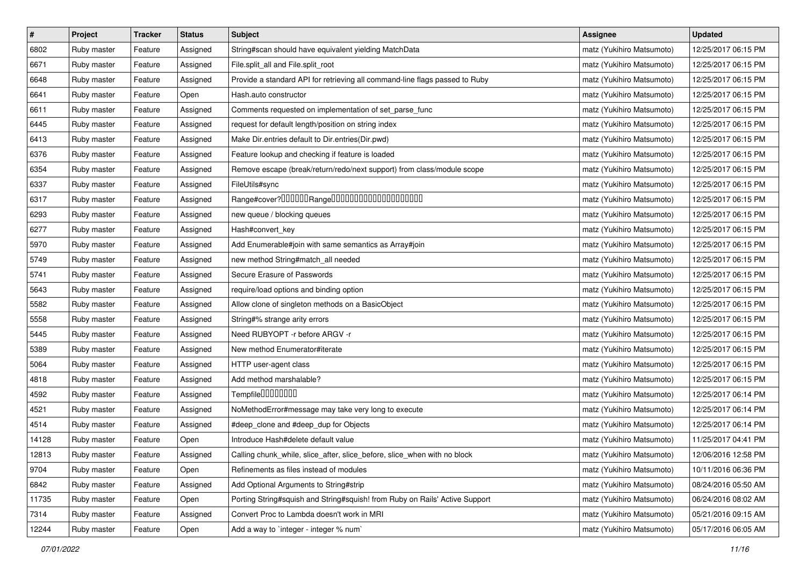| $\pmb{\#}$ | Project     | <b>Tracker</b> | <b>Status</b> | Subject                                                                     | <b>Assignee</b>           | <b>Updated</b>      |
|------------|-------------|----------------|---------------|-----------------------------------------------------------------------------|---------------------------|---------------------|
| 6802       | Ruby master | Feature        | Assigned      | String#scan should have equivalent yielding MatchData                       | matz (Yukihiro Matsumoto) | 12/25/2017 06:15 PM |
| 6671       | Ruby master | Feature        | Assigned      | File.split_all and File.split_root                                          | matz (Yukihiro Matsumoto) | 12/25/2017 06:15 PM |
| 6648       | Ruby master | Feature        | Assigned      | Provide a standard API for retrieving all command-line flags passed to Ruby | matz (Yukihiro Matsumoto) | 12/25/2017 06:15 PM |
| 6641       | Ruby master | Feature        | Open          | Hash.auto constructor                                                       | matz (Yukihiro Matsumoto) | 12/25/2017 06:15 PM |
| 6611       | Ruby master | Feature        | Assigned      | Comments requested on implementation of set_parse_func                      | matz (Yukihiro Matsumoto) | 12/25/2017 06:15 PM |
| 6445       | Ruby master | Feature        | Assigned      | request for default length/position on string index                         | matz (Yukihiro Matsumoto) | 12/25/2017 06:15 PM |
| 6413       | Ruby master | Feature        | Assigned      | Make Dir.entries default to Dir.entries(Dir.pwd)                            | matz (Yukihiro Matsumoto) | 12/25/2017 06:15 PM |
| 6376       | Ruby master | Feature        | Assigned      | Feature lookup and checking if feature is loaded                            | matz (Yukihiro Matsumoto) | 12/25/2017 06:15 PM |
| 6354       | Ruby master | Feature        | Assigned      | Remove escape (break/return/redo/next support) from class/module scope      | matz (Yukihiro Matsumoto) | 12/25/2017 06:15 PM |
| 6337       | Ruby master | Feature        | Assigned      | FileUtils#sync                                                              | matz (Yukihiro Matsumoto) | 12/25/2017 06:15 PM |
| 6317       | Ruby master | Feature        | Assigned      |                                                                             | matz (Yukihiro Matsumoto) | 12/25/2017 06:15 PM |
| 6293       | Ruby master | Feature        | Assigned      | new queue / blocking queues                                                 | matz (Yukihiro Matsumoto) | 12/25/2017 06:15 PM |
| 6277       | Ruby master | Feature        | Assigned      | Hash#convert_key                                                            | matz (Yukihiro Matsumoto) | 12/25/2017 06:15 PM |
| 5970       | Ruby master | Feature        | Assigned      | Add Enumerable#join with same semantics as Array#join                       | matz (Yukihiro Matsumoto) | 12/25/2017 06:15 PM |
| 5749       | Ruby master | Feature        | Assigned      | new method String#match_all needed                                          | matz (Yukihiro Matsumoto) | 12/25/2017 06:15 PM |
| 5741       | Ruby master | Feature        | Assigned      | Secure Erasure of Passwords                                                 | matz (Yukihiro Matsumoto) | 12/25/2017 06:15 PM |
| 5643       | Ruby master | Feature        | Assigned      | require/load options and binding option                                     | matz (Yukihiro Matsumoto) | 12/25/2017 06:15 PM |
| 5582       | Ruby master | Feature        | Assigned      | Allow clone of singleton methods on a BasicObject                           | matz (Yukihiro Matsumoto) | 12/25/2017 06:15 PM |
| 5558       | Ruby master | Feature        | Assigned      | String#% strange arity errors                                               | matz (Yukihiro Matsumoto) | 12/25/2017 06:15 PM |
| 5445       | Ruby master | Feature        | Assigned      | Need RUBYOPT - r before ARGV - r                                            | matz (Yukihiro Matsumoto) | 12/25/2017 06:15 PM |
| 5389       | Ruby master | Feature        | Assigned      | New method Enumerator#iterate                                               | matz (Yukihiro Matsumoto) | 12/25/2017 06:15 PM |
| 5064       | Ruby master | Feature        | Assigned      | HTTP user-agent class                                                       | matz (Yukihiro Matsumoto) | 12/25/2017 06:15 PM |
| 4818       | Ruby master | Feature        | Assigned      | Add method marshalable?                                                     | matz (Yukihiro Matsumoto) | 12/25/2017 06:15 PM |
| 4592       | Ruby master | Feature        | Assigned      | Tempfile0000000                                                             | matz (Yukihiro Matsumoto) | 12/25/2017 06:14 PM |
| 4521       | Ruby master | Feature        | Assigned      | NoMethodError#message may take very long to execute                         | matz (Yukihiro Matsumoto) | 12/25/2017 06:14 PM |
| 4514       | Ruby master | Feature        | Assigned      | #deep_clone and #deep_dup for Objects                                       | matz (Yukihiro Matsumoto) | 12/25/2017 06:14 PM |
| 14128      | Ruby master | Feature        | Open          | Introduce Hash#delete default value                                         | matz (Yukihiro Matsumoto) | 11/25/2017 04:41 PM |
| 12813      | Ruby master | Feature        | Assigned      | Calling chunk_while, slice_after, slice_before, slice_when with no block    | matz (Yukihiro Matsumoto) | 12/06/2016 12:58 PM |
| 9704       | Ruby master | Feature        | Open          | Refinements as files instead of modules                                     | matz (Yukihiro Matsumoto) | 10/11/2016 06:36 PM |
| 6842       | Ruby master | Feature        | Assigned      | Add Optional Arguments to String#strip                                      | matz (Yukihiro Matsumoto) | 08/24/2016 05:50 AM |
| 11735      | Ruby master | Feature        | Open          | Porting String#squish and String#squish! from Ruby on Rails' Active Support | matz (Yukihiro Matsumoto) | 06/24/2016 08:02 AM |
| 7314       | Ruby master | Feature        | Assigned      | Convert Proc to Lambda doesn't work in MRI                                  | matz (Yukihiro Matsumoto) | 05/21/2016 09:15 AM |
| 12244      | Ruby master | Feature        | Open          | Add a way to `integer - integer % num`                                      | matz (Yukihiro Matsumoto) | 05/17/2016 06:05 AM |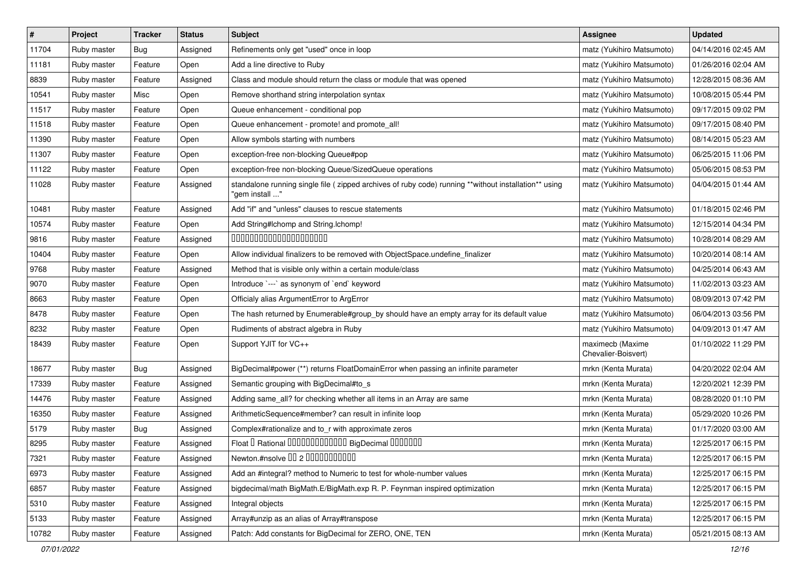| $\sharp$ | Project     | <b>Tracker</b> | <b>Status</b> | Subject                                                                                                                 | <b>Assignee</b>                         | <b>Updated</b>      |
|----------|-------------|----------------|---------------|-------------------------------------------------------------------------------------------------------------------------|-----------------------------------------|---------------------|
| 11704    | Ruby master | <b>Bug</b>     | Assigned      | Refinements only get "used" once in loop                                                                                | matz (Yukihiro Matsumoto)               | 04/14/2016 02:45 AM |
| 11181    | Ruby master | Feature        | Open          | Add a line directive to Ruby                                                                                            | matz (Yukihiro Matsumoto)               | 01/26/2016 02:04 AM |
| 8839     | Ruby master | Feature        | Assigned      | Class and module should return the class or module that was opened                                                      | matz (Yukihiro Matsumoto)               | 12/28/2015 08:36 AM |
| 10541    | Ruby master | Misc           | Open          | Remove shorthand string interpolation syntax                                                                            | matz (Yukihiro Matsumoto)               | 10/08/2015 05:44 PM |
| 11517    | Ruby master | Feature        | Open          | Queue enhancement - conditional pop                                                                                     | matz (Yukihiro Matsumoto)               | 09/17/2015 09:02 PM |
| 11518    | Ruby master | Feature        | Open          | Queue enhancement - promote! and promote all!                                                                           | matz (Yukihiro Matsumoto)               | 09/17/2015 08:40 PM |
| 11390    | Ruby master | Feature        | Open          | Allow symbols starting with numbers                                                                                     | matz (Yukihiro Matsumoto)               | 08/14/2015 05:23 AM |
| 11307    | Ruby master | Feature        | Open          | exception-free non-blocking Queue#pop                                                                                   | matz (Yukihiro Matsumoto)               | 06/25/2015 11:06 PM |
| 11122    | Ruby master | Feature        | Open          | exception-free non-blocking Queue/SizedQueue operations                                                                 | matz (Yukihiro Matsumoto)               | 05/06/2015 08:53 PM |
| 11028    | Ruby master | Feature        | Assigned      | standalone running single file ( zipped archives of ruby code) running **without installation** using<br>"gem install " | matz (Yukihiro Matsumoto)               | 04/04/2015 01:44 AM |
| 10481    | Ruby master | Feature        | Assigned      | Add "if" and "unless" clauses to rescue statements                                                                      | matz (Yukihiro Matsumoto)               | 01/18/2015 02:46 PM |
| 10574    | Ruby master | Feature        | Open          | Add String#Ichomp and String.Ichomp!                                                                                    | matz (Yukihiro Matsumoto)               | 12/15/2014 04:34 PM |
| 9816     | Ruby master | Feature        | Assigned      | 00000000000000000000                                                                                                    | matz (Yukihiro Matsumoto)               | 10/28/2014 08:29 AM |
| 10404    | Ruby master | Feature        | Open          | Allow individual finalizers to be removed with ObjectSpace.undefine_finalizer                                           | matz (Yukihiro Matsumoto)               | 10/20/2014 08:14 AM |
| 9768     | Ruby master | Feature        | Assigned      | Method that is visible only within a certain module/class                                                               | matz (Yukihiro Matsumoto)               | 04/25/2014 06:43 AM |
| 9070     | Ruby master | Feature        | Open          | Introduce `---` as synonym of `end` keyword                                                                             | matz (Yukihiro Matsumoto)               | 11/02/2013 03:23 AM |
| 8663     | Ruby master | Feature        | Open          | Officialy alias ArgumentError to ArgError                                                                               | matz (Yukihiro Matsumoto)               | 08/09/2013 07:42 PM |
| 8478     | Ruby master | Feature        | Open          | The hash returned by Enumerable#group_by should have an empty array for its default value                               | matz (Yukihiro Matsumoto)               | 06/04/2013 03:56 PM |
| 8232     | Ruby master | Feature        | Open          | Rudiments of abstract algebra in Ruby                                                                                   | matz (Yukihiro Matsumoto)               | 04/09/2013 01:47 AM |
| 18439    | Ruby master | Feature        | Open          | Support YJIT for VC++                                                                                                   | maximecb (Maxime<br>Chevalier-Boisvert) | 01/10/2022 11:29 PM |
| 18677    | Ruby master | Bug            | Assigned      | BigDecimal#power (**) returns FloatDomainError when passing an infinite parameter                                       | mrkn (Kenta Murata)                     | 04/20/2022 02:04 AM |
| 17339    | Ruby master | Feature        | Assigned      | Semantic grouping with BigDecimal#to_s                                                                                  | mrkn (Kenta Murata)                     | 12/20/2021 12:39 PM |
| 14476    | Ruby master | Feature        | Assigned      | Adding same_all? for checking whether all items in an Array are same                                                    | mrkn (Kenta Murata)                     | 08/28/2020 01:10 PM |
| 16350    | Ruby master | Feature        | Assigned      | ArithmeticSequence#member? can result in infinite loop                                                                  | mrkn (Kenta Murata)                     | 05/29/2020 10:26 PM |
| 5179     | Ruby master | Bug            | Assigned      | Complex#rationalize and to_r with approximate zeros                                                                     | mrkn (Kenta Murata)                     | 01/17/2020 03:00 AM |
| 8295     | Ruby master | Feature        | Assigned      | Float I Rational 0000000000000 BigDecimal 0000000                                                                       | mrkn (Kenta Murata)                     | 12/25/2017 06:15 PM |
| 7321     | Ruby master | Feature        | Assigned      | Newton.#nsolve 00 2 00000000000                                                                                         | mrkn (Kenta Murata)                     | 12/25/2017 06:15 PM |
| 6973     | Ruby master | Feature        | Assigned      | Add an #integral? method to Numeric to test for whole-number values                                                     | mrkn (Kenta Murata)                     | 12/25/2017 06:15 PM |
| 6857     | Ruby master | Feature        | Assigned      | bigdecimal/math BigMath.E/BigMath.exp R. P. Feynman inspired optimization                                               | mrkn (Kenta Murata)                     | 12/25/2017 06:15 PM |
| 5310     | Ruby master | Feature        | Assigned      | Integral objects                                                                                                        | mrkn (Kenta Murata)                     | 12/25/2017 06:15 PM |
| 5133     | Ruby master | Feature        | Assigned      | Array#unzip as an alias of Array#transpose                                                                              | mrkn (Kenta Murata)                     | 12/25/2017 06:15 PM |
| 10782    | Ruby master | Feature        | Assigned      | Patch: Add constants for BigDecimal for ZERO, ONE, TEN                                                                  | mrkn (Kenta Murata)                     | 05/21/2015 08:13 AM |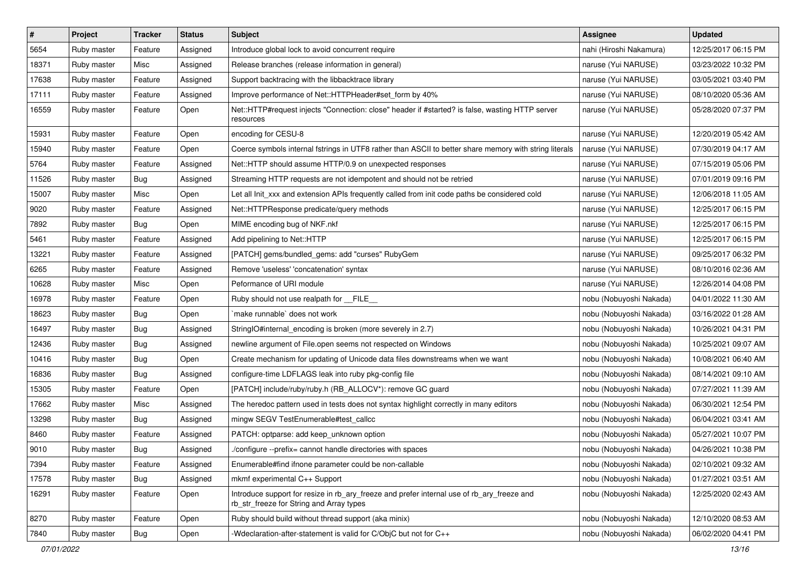| $\vert$ # | Project     | <b>Tracker</b> | <b>Status</b> | Subject                                                                                                                                | Assignee                | <b>Updated</b>      |
|-----------|-------------|----------------|---------------|----------------------------------------------------------------------------------------------------------------------------------------|-------------------------|---------------------|
| 5654      | Ruby master | Feature        | Assigned      | Introduce global lock to avoid concurrent require                                                                                      | nahi (Hiroshi Nakamura) | 12/25/2017 06:15 PM |
| 18371     | Ruby master | Misc           | Assigned      | Release branches (release information in general)                                                                                      | naruse (Yui NARUSE)     | 03/23/2022 10:32 PM |
| 17638     | Ruby master | Feature        | Assigned      | Support backtracing with the libbacktrace library                                                                                      | naruse (Yui NARUSE)     | 03/05/2021 03:40 PM |
| 17111     | Ruby master | Feature        | Assigned      | Improve performance of Net::HTTPHeader#set_form by 40%                                                                                 | naruse (Yui NARUSE)     | 08/10/2020 05:36 AM |
| 16559     | Ruby master | Feature        | Open          | Net::HTTP#request injects "Connection: close" header if #started? is false, wasting HTTP server<br>resources                           | naruse (Yui NARUSE)     | 05/28/2020 07:37 PM |
| 15931     | Ruby master | Feature        | Open          | encoding for CESU-8                                                                                                                    | naruse (Yui NARUSE)     | 12/20/2019 05:42 AM |
| 15940     | Ruby master | Feature        | Open          | Coerce symbols internal fstrings in UTF8 rather than ASCII to better share memory with string literals                                 | naruse (Yui NARUSE)     | 07/30/2019 04:17 AM |
| 5764      | Ruby master | Feature        | Assigned      | Net::HTTP should assume HTTP/0.9 on unexpected responses                                                                               | naruse (Yui NARUSE)     | 07/15/2019 05:06 PM |
| 11526     | Ruby master | Bug            | Assigned      | Streaming HTTP requests are not idempotent and should not be retried                                                                   | naruse (Yui NARUSE)     | 07/01/2019 09:16 PM |
| 15007     | Ruby master | Misc           | Open          | Let all Init_xxx and extension APIs frequently called from init code paths be considered cold                                          | naruse (Yui NARUSE)     | 12/06/2018 11:05 AM |
| 9020      | Ruby master | Feature        | Assigned      | Net::HTTPResponse predicate/query methods                                                                                              | naruse (Yui NARUSE)     | 12/25/2017 06:15 PM |
| 7892      | Ruby master | Bug            | Open          | MIME encoding bug of NKF.nkf                                                                                                           | naruse (Yui NARUSE)     | 12/25/2017 06:15 PM |
| 5461      | Ruby master | Feature        | Assigned      | Add pipelining to Net::HTTP                                                                                                            | naruse (Yui NARUSE)     | 12/25/2017 06:15 PM |
| 13221     | Ruby master | Feature        | Assigned      | [PATCH] gems/bundled_gems: add "curses" RubyGem                                                                                        | naruse (Yui NARUSE)     | 09/25/2017 06:32 PM |
| 6265      | Ruby master | Feature        | Assigned      | Remove 'useless' 'concatenation' syntax                                                                                                | naruse (Yui NARUSE)     | 08/10/2016 02:36 AM |
| 10628     | Ruby master | Misc           | Open          | Peformance of URI module                                                                                                               | naruse (Yui NARUSE)     | 12/26/2014 04:08 PM |
| 16978     | Ruby master | Feature        | Open          | Ruby should not use realpath for __FILE__                                                                                              | nobu (Nobuyoshi Nakada) | 04/01/2022 11:30 AM |
| 18623     | Ruby master | <b>Bug</b>     | Open          | `make runnable` does not work                                                                                                          | nobu (Nobuyoshi Nakada) | 03/16/2022 01:28 AM |
| 16497     | Ruby master | Bug            | Assigned      | StringIO#internal_encoding is broken (more severely in 2.7)                                                                            | nobu (Nobuyoshi Nakada) | 10/26/2021 04:31 PM |
| 12436     | Ruby master | Bug            | Assigned      | newline argument of File.open seems not respected on Windows                                                                           | nobu (Nobuyoshi Nakada) | 10/25/2021 09:07 AM |
| 10416     | Ruby master | Bug            | Open          | Create mechanism for updating of Unicode data files downstreams when we want                                                           | nobu (Nobuyoshi Nakada) | 10/08/2021 06:40 AM |
| 16836     | Ruby master | Bug            | Assigned      | configure-time LDFLAGS leak into ruby pkg-config file                                                                                  | nobu (Nobuyoshi Nakada) | 08/14/2021 09:10 AM |
| 15305     | Ruby master | Feature        | Open          | [PATCH] include/ruby/ruby.h (RB_ALLOCV*): remove GC guard                                                                              | nobu (Nobuyoshi Nakada) | 07/27/2021 11:39 AM |
| 17662     | Ruby master | Misc           | Assigned      | The heredoc pattern used in tests does not syntax highlight correctly in many editors                                                  | nobu (Nobuyoshi Nakada) | 06/30/2021 12:54 PM |
| 13298     | Ruby master | Bug            | Assigned      | mingw SEGV TestEnumerable#test_callcc                                                                                                  | nobu (Nobuyoshi Nakada) | 06/04/2021 03:41 AM |
| 8460      | Ruby master | Feature        | Assigned      | PATCH: optparse: add keep unknown option                                                                                               | nobu (Nobuyoshi Nakada) | 05/27/2021 10:07 PM |
| 9010      | Ruby master | <b>Bug</b>     | Assigned      | /configure --prefix= cannot handle directories with spaces                                                                             | nobu (Nobuyoshi Nakada) | 04/26/2021 10:38 PM |
| 7394      | Ruby master | Feature        | Assigned      | Enumerable#find ifnone parameter could be non-callable                                                                                 | nobu (Nobuyoshi Nakada) | 02/10/2021 09:32 AM |
| 17578     | Ruby master | Bug            | Assigned      | mkmf experimental C++ Support                                                                                                          | nobu (Nobuyoshi Nakada) | 01/27/2021 03:51 AM |
| 16291     | Ruby master | Feature        | Open          | Introduce support for resize in rb_ary_freeze and prefer internal use of rb_ary_freeze and<br>rb_str_freeze for String and Array types | nobu (Nobuyoshi Nakada) | 12/25/2020 02:43 AM |
| 8270      | Ruby master | Feature        | Open          | Ruby should build without thread support (aka minix)                                                                                   | nobu (Nobuyoshi Nakada) | 12/10/2020 08:53 AM |
| 7840      | Ruby master | <b>Bug</b>     | Open          | -Wdeclaration-after-statement is valid for C/ObjC but not for C++                                                                      | nobu (Nobuyoshi Nakada) | 06/02/2020 04:41 PM |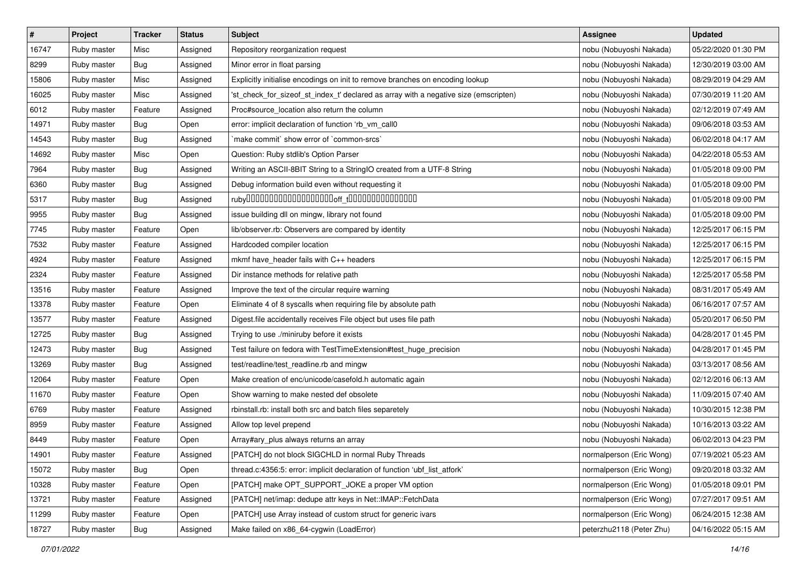| $\pmb{\#}$ | Project     | <b>Tracker</b> | <b>Status</b> | <b>Subject</b>                                                                       | <b>Assignee</b>          | <b>Updated</b>      |
|------------|-------------|----------------|---------------|--------------------------------------------------------------------------------------|--------------------------|---------------------|
| 16747      | Ruby master | Misc           | Assigned      | Repository reorganization request                                                    | nobu (Nobuyoshi Nakada)  | 05/22/2020 01:30 PM |
| 8299       | Ruby master | Bug            | Assigned      | Minor error in float parsing                                                         | nobu (Nobuyoshi Nakada)  | 12/30/2019 03:00 AM |
| 15806      | Ruby master | Misc           | Assigned      | Explicitly initialise encodings on init to remove branches on encoding lookup        | nobu (Nobuyoshi Nakada)  | 08/29/2019 04:29 AM |
| 16025      | Ruby master | Misc           | Assigned      | 'st_check_for_sizeof_st_index_t' declared as array with a negative size (emscripten) | nobu (Nobuyoshi Nakada)  | 07/30/2019 11:20 AM |
| 6012       | Ruby master | Feature        | Assigned      | Proc#source_location also return the column                                          | nobu (Nobuyoshi Nakada)  | 02/12/2019 07:49 AM |
| 14971      | Ruby master | Bug            | Open          | error: implicit declaration of function 'rb_vm_call0                                 | nobu (Nobuyoshi Nakada)  | 09/06/2018 03:53 AM |
| 14543      | Ruby master | Bug            | Assigned      | 'make commit' show error of 'common-srcs'                                            | nobu (Nobuyoshi Nakada)  | 06/02/2018 04:17 AM |
| 14692      | Ruby master | Misc           | Open          | Question: Ruby stdlib's Option Parser                                                | nobu (Nobuyoshi Nakada)  | 04/22/2018 05:53 AM |
| 7964       | Ruby master | <b>Bug</b>     | Assigned      | Writing an ASCII-8BIT String to a StringIO created from a UTF-8 String               | nobu (Nobuyoshi Nakada)  | 01/05/2018 09:00 PM |
| 6360       | Ruby master | Bug            | Assigned      | Debug information build even without requesting it                                   | nobu (Nobuyoshi Nakada)  | 01/05/2018 09:00 PM |
| 5317       | Ruby master | <b>Bug</b>     | Assigned      |                                                                                      | nobu (Nobuyoshi Nakada)  | 01/05/2018 09:00 PM |
| 9955       | Ruby master | Bug            | Assigned      | issue building dll on mingw, library not found                                       | nobu (Nobuyoshi Nakada)  | 01/05/2018 09:00 PM |
| 7745       | Ruby master | Feature        | Open          | lib/observer.rb: Observers are compared by identity                                  | nobu (Nobuyoshi Nakada)  | 12/25/2017 06:15 PM |
| 7532       | Ruby master | Feature        | Assigned      | Hardcoded compiler location                                                          | nobu (Nobuyoshi Nakada)  | 12/25/2017 06:15 PM |
| 4924       | Ruby master | Feature        | Assigned      | mkmf have_header fails with C++ headers                                              | nobu (Nobuyoshi Nakada)  | 12/25/2017 06:15 PM |
| 2324       | Ruby master | Feature        | Assigned      | Dir instance methods for relative path                                               | nobu (Nobuyoshi Nakada)  | 12/25/2017 05:58 PM |
| 13516      | Ruby master | Feature        | Assigned      | Improve the text of the circular require warning                                     | nobu (Nobuyoshi Nakada)  | 08/31/2017 05:49 AM |
| 13378      | Ruby master | Feature        | Open          | Eliminate 4 of 8 syscalls when requiring file by absolute path                       | nobu (Nobuyoshi Nakada)  | 06/16/2017 07:57 AM |
| 13577      | Ruby master | Feature        | Assigned      | Digest file accidentally receives File object but uses file path                     | nobu (Nobuyoshi Nakada)  | 05/20/2017 06:50 PM |
| 12725      | Ruby master | Bug            | Assigned      | Trying to use ./miniruby before it exists                                            | nobu (Nobuyoshi Nakada)  | 04/28/2017 01:45 PM |
| 12473      | Ruby master | Bug            | Assigned      | Test failure on fedora with TestTimeExtension#test_huge_precision                    | nobu (Nobuyoshi Nakada)  | 04/28/2017 01:45 PM |
| 13269      | Ruby master | <b>Bug</b>     | Assigned      | test/readline/test_readline.rb and mingw                                             | nobu (Nobuyoshi Nakada)  | 03/13/2017 08:56 AM |
| 12064      | Ruby master | Feature        | Open          | Make creation of enc/unicode/casefold.h automatic again                              | nobu (Nobuyoshi Nakada)  | 02/12/2016 06:13 AM |
| 11670      | Ruby master | Feature        | Open          | Show warning to make nested def obsolete                                             | nobu (Nobuyoshi Nakada)  | 11/09/2015 07:40 AM |
| 6769       | Ruby master | Feature        | Assigned      | rbinstall.rb: install both src and batch files separetely                            | nobu (Nobuyoshi Nakada)  | 10/30/2015 12:38 PM |
| 8959       | Ruby master | Feature        | Assigned      | Allow top level prepend                                                              | nobu (Nobuyoshi Nakada)  | 10/16/2013 03:22 AM |
| 8449       | Ruby master | Feature        | Open          | Array#ary_plus always returns an array                                               | nobu (Nobuyoshi Nakada)  | 06/02/2013 04:23 PM |
| 14901      | Ruby master | Feature        | Assigned      | [PATCH] do not block SIGCHLD in normal Ruby Threads                                  | normalperson (Eric Wong) | 07/19/2021 05:23 AM |
| 15072      | Ruby master | Bug            | Open          | thread.c:4356:5: error: implicit declaration of function 'ubf list atfork'           | normalperson (Eric Wong) | 09/20/2018 03:32 AM |
| 10328      | Ruby master | Feature        | Open          | [PATCH] make OPT_SUPPORT_JOKE a proper VM option                                     | normalperson (Eric Wong) | 01/05/2018 09:01 PM |
| 13721      | Ruby master | Feature        | Assigned      | [PATCH] net/imap: dedupe attr keys in Net::IMAP::FetchData                           | normalperson (Eric Wong) | 07/27/2017 09:51 AM |
| 11299      | Ruby master | Feature        | Open          | [PATCH] use Array instead of custom struct for generic ivars                         | normalperson (Eric Wong) | 06/24/2015 12:38 AM |
| 18727      | Ruby master | <b>Bug</b>     | Assigned      | Make failed on x86_64-cygwin (LoadError)                                             | peterzhu2118 (Peter Zhu) | 04/16/2022 05:15 AM |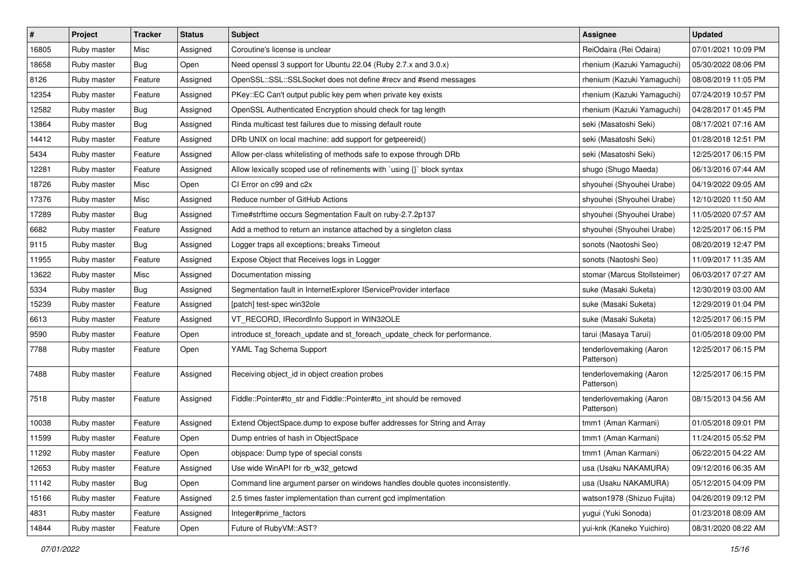| $\pmb{\#}$ | Project     | <b>Tracker</b> | <b>Status</b> | <b>Subject</b>                                                                | <b>Assignee</b>                       | <b>Updated</b>      |
|------------|-------------|----------------|---------------|-------------------------------------------------------------------------------|---------------------------------------|---------------------|
| 16805      | Ruby master | Misc           | Assigned      | Coroutine's license is unclear                                                | ReiOdaira (Rei Odaira)                | 07/01/2021 10:09 PM |
| 18658      | Ruby master | Bug            | Open          | Need openssl 3 support for Ubuntu 22.04 (Ruby 2.7.x and 3.0.x)                | rhenium (Kazuki Yamaguchi)            | 05/30/2022 08:06 PM |
| 8126       | Ruby master | Feature        | Assigned      | OpenSSL::SSL::SSLSocket does not define #recv and #send messages              | rhenium (Kazuki Yamaguchi)            | 08/08/2019 11:05 PM |
| 12354      | Ruby master | Feature        | Assigned      | PKey::EC Can't output public key pem when private key exists                  | rhenium (Kazuki Yamaguchi)            | 07/24/2019 10:57 PM |
| 12582      | Ruby master | Bug            | Assigned      | OpenSSL Authenticated Encryption should check for tag length                  | rhenium (Kazuki Yamaguchi)            | 04/28/2017 01:45 PM |
| 13864      | Ruby master | <b>Bug</b>     | Assigned      | Rinda multicast test failures due to missing default route                    | seki (Masatoshi Seki)                 | 08/17/2021 07:16 AM |
| 14412      | Ruby master | Feature        | Assigned      | DRb UNIX on local machine: add support for getpeereid()                       | seki (Masatoshi Seki)                 | 01/28/2018 12:51 PM |
| 5434       | Ruby master | Feature        | Assigned      | Allow per-class whitelisting of methods safe to expose through DRb            | seki (Masatoshi Seki)                 | 12/25/2017 06:15 PM |
| 12281      | Ruby master | Feature        | Assigned      | Allow lexically scoped use of refinements with `using {}` block syntax        | shugo (Shugo Maeda)                   | 06/13/2016 07:44 AM |
| 18726      | Ruby master | Misc           | Open          | CI Error on c99 and c2x                                                       | shyouhei (Shyouhei Urabe)             | 04/19/2022 09:05 AM |
| 17376      | Ruby master | Misc           | Assigned      | Reduce number of GitHub Actions                                               | shyouhei (Shyouhei Urabe)             | 12/10/2020 11:50 AM |
| 17289      | Ruby master | Bug            | Assigned      | Time#strftime occurs Segmentation Fault on ruby-2.7.2p137                     | shyouhei (Shyouhei Urabe)             | 11/05/2020 07:57 AM |
| 6682       | Ruby master | Feature        | Assigned      | Add a method to return an instance attached by a singleton class              | shyouhei (Shyouhei Urabe)             | 12/25/2017 06:15 PM |
| 9115       | Ruby master | Bug            | Assigned      | Logger traps all exceptions; breaks Timeout                                   | sonots (Naotoshi Seo)                 | 08/20/2019 12:47 PM |
| 11955      | Ruby master | Feature        | Assigned      | Expose Object that Receives logs in Logger                                    | sonots (Naotoshi Seo)                 | 11/09/2017 11:35 AM |
| 13622      | Ruby master | Misc           | Assigned      | Documentation missing                                                         | stomar (Marcus Stollsteimer)          | 06/03/2017 07:27 AM |
| 5334       | Ruby master | Bug            | Assigned      | Segmentation fault in InternetExplorer IServiceProvider interface             | suke (Masaki Suketa)                  | 12/30/2019 03:00 AM |
| 15239      | Ruby master | Feature        | Assigned      | [patch] test-spec win32ole                                                    | suke (Masaki Suketa)                  | 12/29/2019 01:04 PM |
| 6613       | Ruby master | Feature        | Assigned      | VT_RECORD, IRecordInfo Support in WIN32OLE                                    | suke (Masaki Suketa)                  | 12/25/2017 06:15 PM |
| 9590       | Ruby master | Feature        | Open          | introduce st_foreach_update and st_foreach_update_check for performance.      | tarui (Masaya Tarui)                  | 01/05/2018 09:00 PM |
| 7788       | Ruby master | Feature        | Open          | YAML Tag Schema Support                                                       | tenderlovemaking (Aaron<br>Patterson) | 12/25/2017 06:15 PM |
| 7488       | Ruby master | Feature        | Assigned      | Receiving object_id in object creation probes                                 | tenderlovemaking (Aaron<br>Patterson) | 12/25/2017 06:15 PM |
| 7518       | Ruby master | Feature        | Assigned      | Fiddle::Pointer#to_str and Fiddle::Pointer#to_int should be removed           | tenderlovemaking (Aaron<br>Patterson) | 08/15/2013 04:56 AM |
| 10038      | Ruby master | Feature        | Assigned      | Extend ObjectSpace.dump to expose buffer addresses for String and Array       | tmm1 (Aman Karmani)                   | 01/05/2018 09:01 PM |
| 11599      | Ruby master | Feature        | Open          | Dump entries of hash in ObjectSpace                                           | tmm1 (Aman Karmani)                   | 11/24/2015 05:52 PM |
| 11292      | Ruby master | Feature        | Open          | objspace: Dump type of special consts                                         | tmm1 (Aman Karmani)                   | 06/22/2015 04:22 AM |
| 12653      | Ruby master | Feature        | Assigned      | Use wide WinAPI for rb_w32_getcwd                                             | usa (Usaku NAKAMURA)                  | 09/12/2016 06:35 AM |
| 11142      | Ruby master | Bug            | Open          | Command line argument parser on windows handles double quotes inconsistently. | usa (Usaku NAKAMURA)                  | 05/12/2015 04:09 PM |
| 15166      | Ruby master | Feature        | Assigned      | 2.5 times faster implementation than current gcd implmentation                | watson1978 (Shizuo Fujita)            | 04/26/2019 09:12 PM |
| 4831       | Ruby master | Feature        | Assigned      | Integer#prime factors                                                         | yugui (Yuki Sonoda)                   | 01/23/2018 08:09 AM |
| 14844      | Ruby master | Feature        | Open          | Future of RubyVM::AST?                                                        | yui-knk (Kaneko Yuichiro)             | 08/31/2020 08:22 AM |